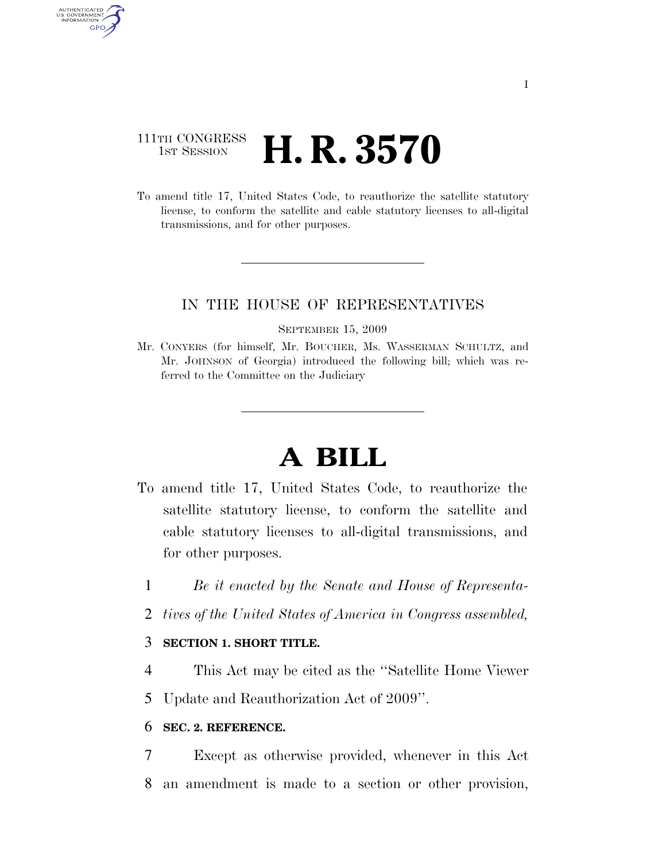# 111TH CONGRESS **1st Session H. R. 3570**

AUTHENTICATED U.S. GOVERNMENT **GPO** 

> To amend title 17, United States Code, to reauthorize the satellite statutory license, to conform the satellite and cable statutory licenses to all-digital transmissions, and for other purposes.

## IN THE HOUSE OF REPRESENTATIVES

#### SEPTEMBER 15, 2009

Mr. CONYERS (for himself, Mr. BOUCHER, Ms. WASSERMAN SCHULTZ, and Mr. JOHNSON of Georgia) introduced the following bill; which was referred to the Committee on the Judiciary

# **A BILL**

- To amend title 17, United States Code, to reauthorize the satellite statutory license, to conform the satellite and cable statutory licenses to all-digital transmissions, and for other purposes.
	- 1 *Be it enacted by the Senate and House of Representa-*
	- 2 *tives of the United States of America in Congress assembled,*

### 3 **SECTION 1. SHORT TITLE.**

- 4 This Act may be cited as the ''Satellite Home Viewer
- 5 Update and Reauthorization Act of 2009''.

### 6 **SEC. 2. REFERENCE.**

7 Except as otherwise provided, whenever in this Act 8 an amendment is made to a section or other provision,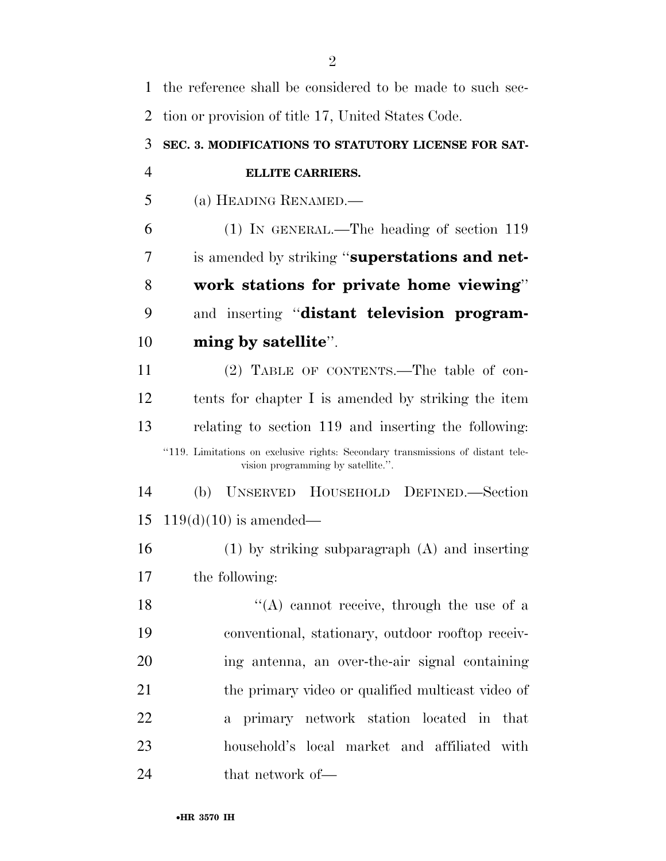| 1              | the reference shall be considered to be made to such sec-                                                             |
|----------------|-----------------------------------------------------------------------------------------------------------------------|
| $\overline{2}$ | tion or provision of title 17, United States Code.                                                                    |
| 3              | SEC. 3. MODIFICATIONS TO STATUTORY LICENSE FOR SAT-                                                                   |
| $\overline{4}$ | <b>ELLITE CARRIERS.</b>                                                                                               |
| 5              | (a) HEADING RENAMED.—                                                                                                 |
| 6              | $(1)$ IN GENERAL.—The heading of section 119                                                                          |
| 7              | is amended by striking "superstations and net-                                                                        |
| 8              | work stations for private home viewing"                                                                               |
| 9              | and inserting "distant television program-                                                                            |
| 10             | ming by satellite".                                                                                                   |
| 11             | (2) TABLE OF CONTENTS.—The table of con-                                                                              |
| 12             | tents for chapter I is amended by striking the item                                                                   |
| 13             | relating to section 119 and inserting the following:                                                                  |
|                | "119. Limitations on exclusive rights: Secondary transmissions of distant tele-<br>vision programming by satellite.". |
| 14             | UNSERVED HOUSEHOLD DEFINED.—Section<br>(b)                                                                            |
| 15             | $119(d)(10)$ is amended—                                                                                              |
| 16             | $(1)$ by striking subparagraph $(A)$ and inserting                                                                    |
| 17             | the following:                                                                                                        |
| 18             | $\lq\lq$ cannot receive, through the use of a                                                                         |
| 19             | conventional, stationary, outdoor rooftop receiv-                                                                     |
| 20             | ing antenna, an over-the-air signal containing                                                                        |
| 21             | the primary video or qualified multicast video of                                                                     |
| 22             | a primary network station located in that                                                                             |
| 23             | household's local market and affiliated with                                                                          |
| 24             | that network of—                                                                                                      |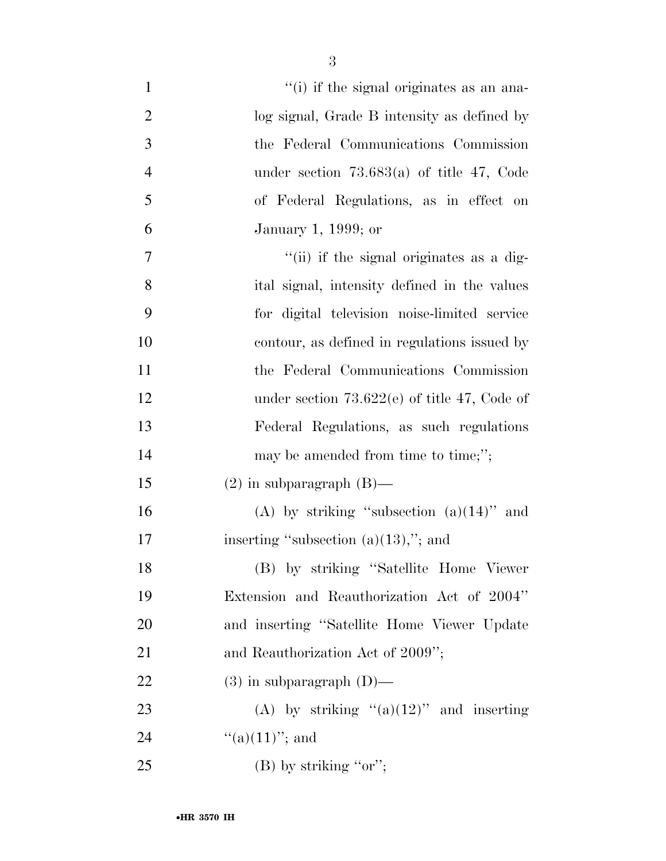| $\mathbf{1}$   | "(i) if the signal originates as an ana-       |
|----------------|------------------------------------------------|
| $\overline{2}$ | log signal, Grade B intensity as defined by    |
| 3              | the Federal Communications Commission          |
| $\overline{4}$ | under section $73.683(a)$ of title 47, Code    |
| 5              | of Federal Regulations, as in effect on        |
| 6              | January 1, 1999; or                            |
| 7              | "(ii) if the signal originates as a dig-       |
| 8              | ital signal, intensity defined in the values   |
| 9              | for digital television noise-limited service   |
| 10             | contour, as defined in regulations issued by   |
| 11             | the Federal Communications Commission          |
| 12             | under section $73.622(e)$ of title 47, Code of |
| 13             | Federal Regulations, as such regulations       |
| 14             | may be amended from time to time;";            |
| 15             | $(2)$ in subparagraph $(B)$ —                  |
| 16             | (A) by striking "subsection $(a)(14)$ " and    |
| 17             | inserting "subsection $(a)(13)$ ,"; and        |
| 18             | (B) by striking "Satellite Home Viewer         |
| 19             | Extension and Reauthorization Act of 2004"     |
| 20             | and inserting "Satellite Home Viewer Update"   |
| 21             | and Reauthorization Act of 2009";              |
| 22             | $(3)$ in subparagraph $(D)$ —                  |
| 23             | (A) by striking " $(a)(12)$ " and inserting    |
| 24             | "(a) $(11)$ "; and                             |
| 25             | (B) by striking " $or$ ";                      |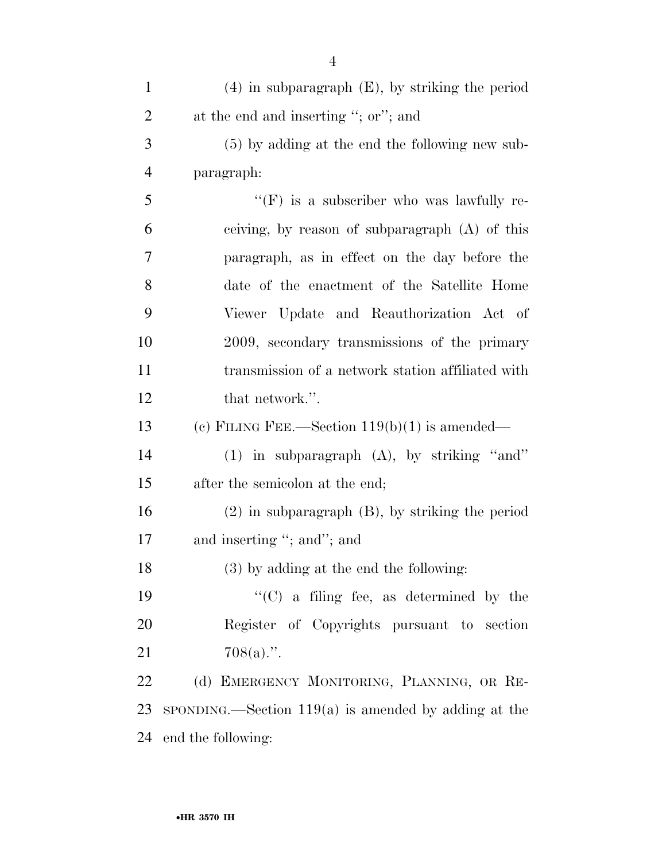| $\mathbf{1}$   | $(4)$ in subparagraph $(E)$ , by striking the period   |
|----------------|--------------------------------------------------------|
| $\overline{2}$ | at the end and inserting "; or"; and                   |
| 3              | $(5)$ by adding at the end the following new sub-      |
| $\overline{4}$ | paragraph:                                             |
| 5              | "(F) is a subscriber who was lawfully re-              |
| 6              | ceiving, by reason of subparagraph (A) of this         |
| 7              | paragraph, as in effect on the day before the          |
| 8              | date of the enactment of the Satellite Home            |
| 9              | Viewer Update and Reauthorization Act of               |
| 10             | 2009, secondary transmissions of the primary           |
| 11             | transmission of a network station affiliated with      |
| 12             | that network.".                                        |
| 13             | (c) FILING FEE.—Section $119(b)(1)$ is amended—        |
| 14             | $(1)$ in subparagraph $(A)$ , by striking "and"        |
| 15             | after the semicolon at the end;                        |
| 16             | $(2)$ in subparagraph $(B)$ , by striking the period   |
| 17             | and inserting "; and"; and                             |
| 18             | $(3)$ by adding at the end the following:              |
| 19             | $\lq\lq$ (C) a filing fee, as determined by the        |
| 20             | Register of Copyrights pursuant to section             |
| 21             | $708(a)$ .".                                           |
| 22             | (d) EMERGENCY MONITORING, PLANNING, OR RE-             |
| 23             | $SPONDING.$ Section 119(a) is amended by adding at the |
| 24             | end the following:                                     |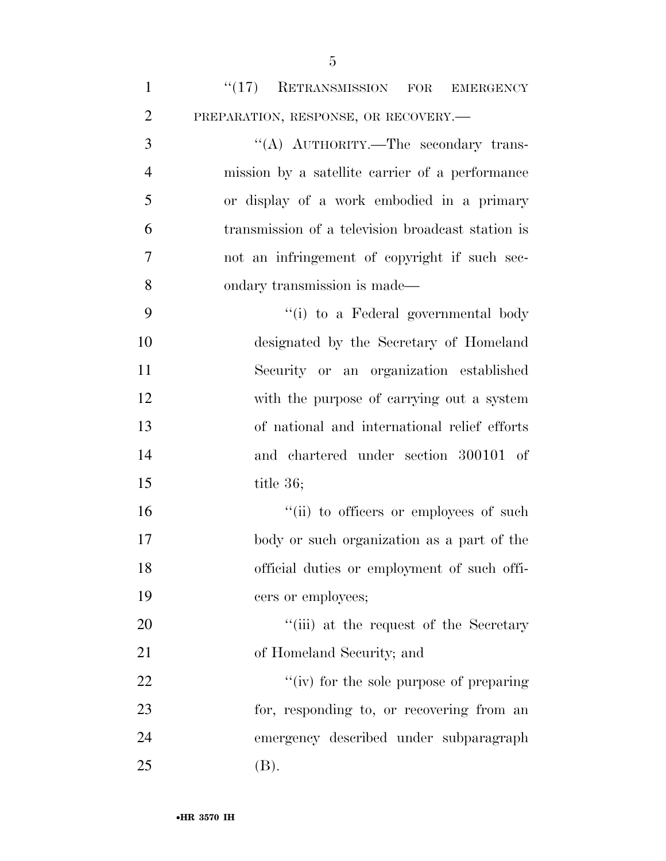| $\mathbf{1}$   | "(17) RETRANSMISSION FOR EMERGENCY                |
|----------------|---------------------------------------------------|
| $\overline{2}$ | PREPARATION, RESPONSE, OR RECOVERY.-              |
| 3              | "(A) AUTHORITY.—The secondary trans-              |
| $\overline{4}$ | mission by a satellite carrier of a performance   |
| 5              | or display of a work embodied in a primary        |
| 6              | transmission of a television broadcast station is |
| 7              | not an infringement of copyright if such sec-     |
| 8              | ondary transmission is made—                      |
| 9              | "(i) to a Federal governmental body"              |
| 10             | designated by the Secretary of Homeland           |
| 11             | Security or an organization established           |
| 12             | with the purpose of carrying out a system         |
| 13             | of national and international relief efforts      |
| 14             | and chartered under section 300101 of             |
| 15             | title $36$ ;                                      |
| 16             | "(ii) to officers or employees of such            |
| 17             | body or such organization as a part of the        |
| 18             | official duties or employment of such offi-       |
| 19             | cers or employees;                                |
| 20             | "(iii) at the request of the Secretary            |
| 21             | of Homeland Security; and                         |
| 22             | "(iv) for the sole purpose of preparing           |
| 23             | for, responding to, or recovering from an         |
| 24             | emergency described under subparagraph            |
| 25             | (B).                                              |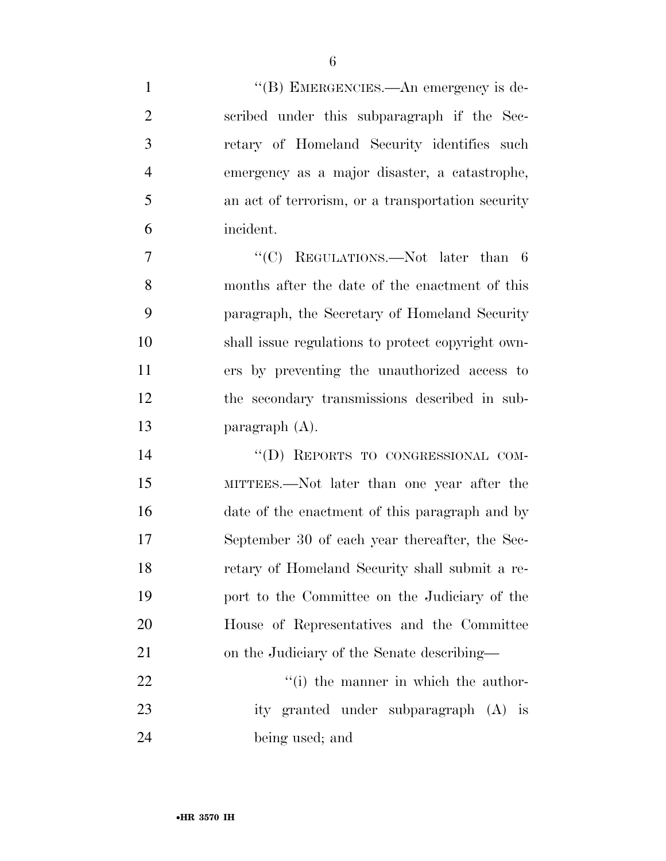1 ''(B) EMERGENCIES.—An emergency is de-

| $\mathfrak{2}$ | scribed under this subparagraph if the Sec-       |
|----------------|---------------------------------------------------|
| 3              | retary of Homeland Security identifies such       |
| $\overline{4}$ | emergency as a major disaster, a catastrophe,     |
| 5              | an act of terrorism, or a transportation security |
| 6              | incident.                                         |
| 7              | "(C) REGULATIONS.—Not later than $6$              |
| 8              | months after the date of the enactment of this    |
| 9              | paragraph, the Secretary of Homeland Security     |
| 10             | shall issue regulations to protect copyright own- |
| 11             | ers by preventing the unauthorized access to      |
| 12             | the secondary transmissions described in sub-     |
| 13             | paragraph $(A)$ .                                 |
| 14             | "(D) REPORTS TO CONGRESSIONAL COM-                |
| 15             | MITTEES.—Not later than one year after the        |
| 16             | date of the enactment of this paragraph and by    |
| 17             | September 30 of each year thereafter, the Sec-    |
| 18             | retary of Homeland Security shall submit a re-    |
| 19             | port to the Committee on the Judiciary of the     |
| 20             | House of Representatives and the Committee        |
| 21             | on the Judiciary of the Senate describing—        |
| 22             | "(i) the manner in which the author-              |
| 23             | ity granted under subparagraph (A) is             |
| 24             | being used; and                                   |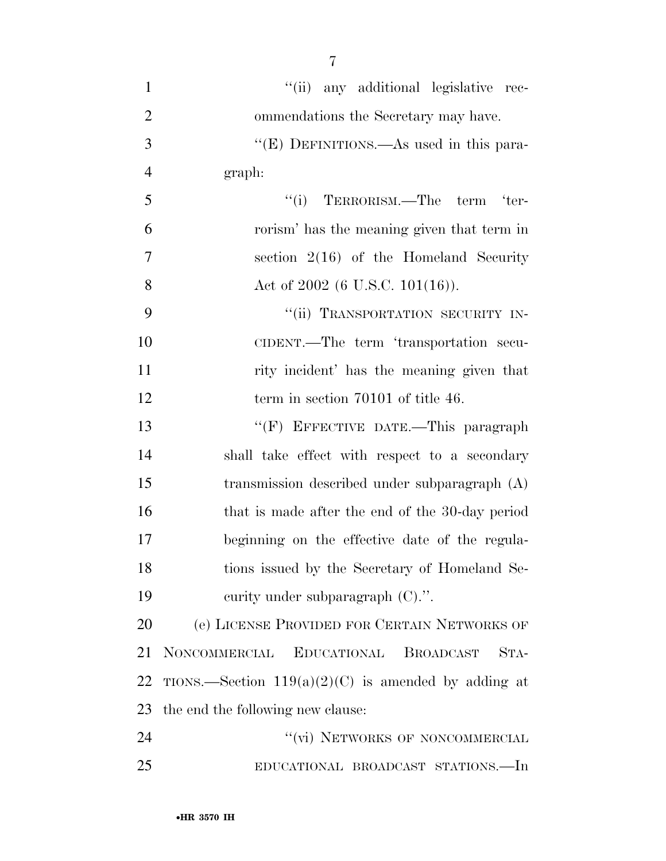| $\mathbf{1}$   | "(ii) any additional legislative rec-                 |
|----------------|-------------------------------------------------------|
| $\overline{2}$ | ommendations the Secretary may have.                  |
| 3              | "(E) DEFINITIONS.—As used in this para-               |
| $\overline{4}$ | graph:                                                |
| 5              | $``(i)$ TERRORISM.—The term 'ter-                     |
| 6              | rorism' has the meaning given that term in            |
| $\overline{7}$ | section $2(16)$ of the Homeland Security              |
| 8              | Act of $2002$ (6 U.S.C. 101(16)).                     |
| 9              | "(ii) TRANSPORTATION SECURITY IN-                     |
| 10             | CIDENT.—The term 'transportation secu-                |
| 11             | rity incident' has the meaning given that             |
| 12             | term in section 70101 of title 46.                    |
| 13             | "(F) EFFECTIVE DATE.—This paragraph                   |
| 14             | shall take effect with respect to a secondary         |
| 15             | transmission described under subparagraph (A)         |
| 16             | that is made after the end of the 30-day period       |
| 17             | beginning on the effective date of the regula-        |
| 18             | tions issued by the Secretary of Homeland Se-         |
| 19             | curity under subparagraph $(C)$ .".                   |
| 20             | (e) LICENSE PROVIDED FOR CERTAIN NETWORKS OF          |
| 21             | NONCOMMERCIAL EDUCATIONAL<br><b>BROADCAST</b><br>STA- |
| 22             | TIONS.—Section $119(a)(2)(C)$ is amended by adding at |
| 23             | the end the following new clause:                     |
| 24             | "(vi) NETWORKS OF NONCOMMERCIAL                       |
| 25             | EDUCATIONAL BROADCAST STATIONS.—In                    |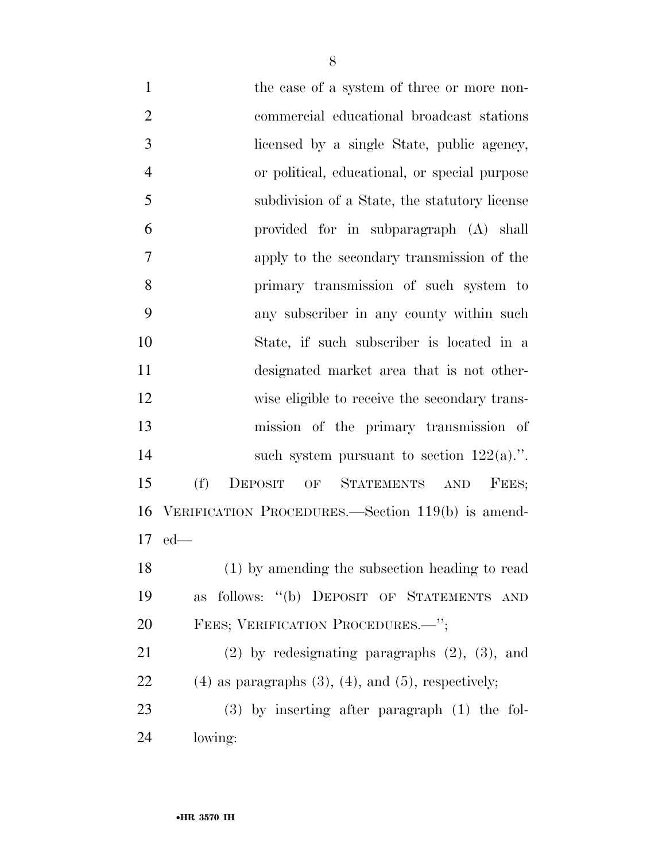1 the case of a system of three or more non- commercial educational broadcast stations licensed by a single State, public agency, or political, educational, or special purpose subdivision of a State, the statutory license provided for in subparagraph (A) shall apply to the secondary transmission of the primary transmission of such system to any subscriber in any county within such State, if such subscriber is located in a designated market area that is not other- wise eligible to receive the secondary trans- mission of the primary transmission of 14 such system pursuant to section  $122(a)$ .". (f) DEPOSIT OF STATEMENTS AND FEES; VERIFICATION PROCEDURES.—Section 119(b) is amend- ed— (1) by amending the subsection heading to read

 as follows: ''(b) DEPOSIT OF STATEMENTS AND 20 FEES; VERIFICATION PROCEDURES.<sup>"</sup>;

 (2) by redesignating paragraphs (2), (3), and 22 (4) as paragraphs  $(3)$ ,  $(4)$ , and  $(5)$ , respectively; (3) by inserting after paragraph (1) the fol-

lowing: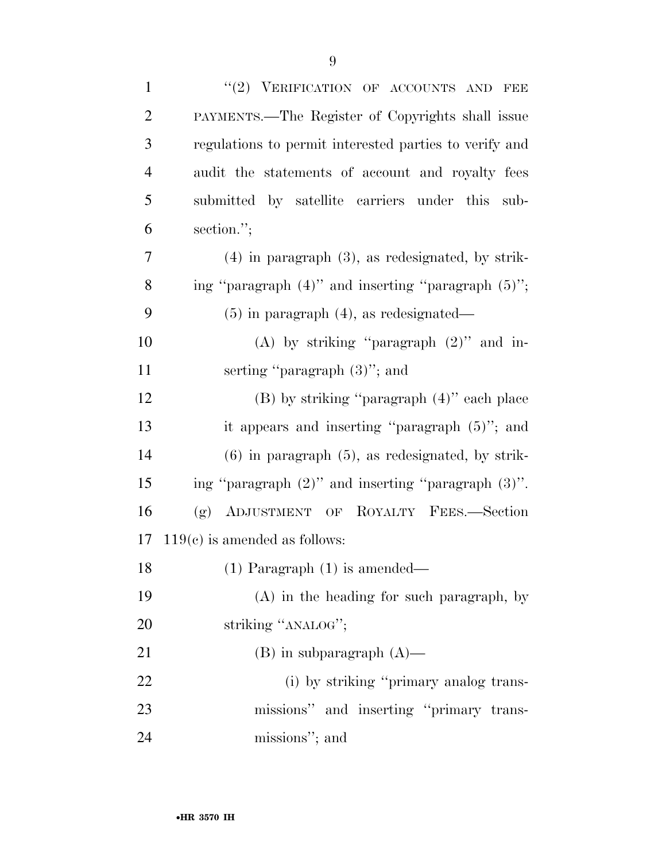| $\mathbf{1}$   | "(2) VERIFICATION OF ACCOUNTS AND<br>FEE                 |
|----------------|----------------------------------------------------------|
| $\overline{2}$ | PAYMENTS.—The Register of Copyrights shall issue         |
| 3              | regulations to permit interested parties to verify and   |
| $\overline{4}$ | audit the statements of account and royalty fees         |
| 5              | submitted by satellite carriers under this<br>sub-       |
| 6              | section.";                                               |
| 7              | $(4)$ in paragraph $(3)$ , as redesignated, by strik-    |
| 8              | ing "paragraph $(4)$ " and inserting "paragraph $(5)$ "; |
| 9              | $(5)$ in paragraph $(4)$ , as redesignated—              |
| 10             | (A) by striking "paragraph $(2)$ " and in-               |
| 11             | serting "paragraph $(3)$ "; and                          |
| 12             | $(B)$ by striking "paragraph $(4)$ " each place          |
| 13             | it appears and inserting "paragraph $(5)$ "; and         |
| 14             | $(6)$ in paragraph $(5)$ , as redesignated, by strik-    |
| 15             | ing "paragraph $(2)$ " and inserting "paragraph $(3)$ ". |
| 16             | ADJUSTMENT OF ROYALTY FEES.-Section<br>(g)               |
| 17             | $119(c)$ is amended as follows:                          |
| 18             | $(1)$ Paragraph $(1)$ is amended-                        |
| 19             | $(A)$ in the heading for such paragraph, by              |
| 20             | striking "ANALOG";                                       |
| 21             | $(B)$ in subparagraph $(A)$ —                            |
| 22             | (i) by striking "primary analog trans-                   |
| 23             | missions" and inserting "primary trans-                  |
| 24             | missions"; and                                           |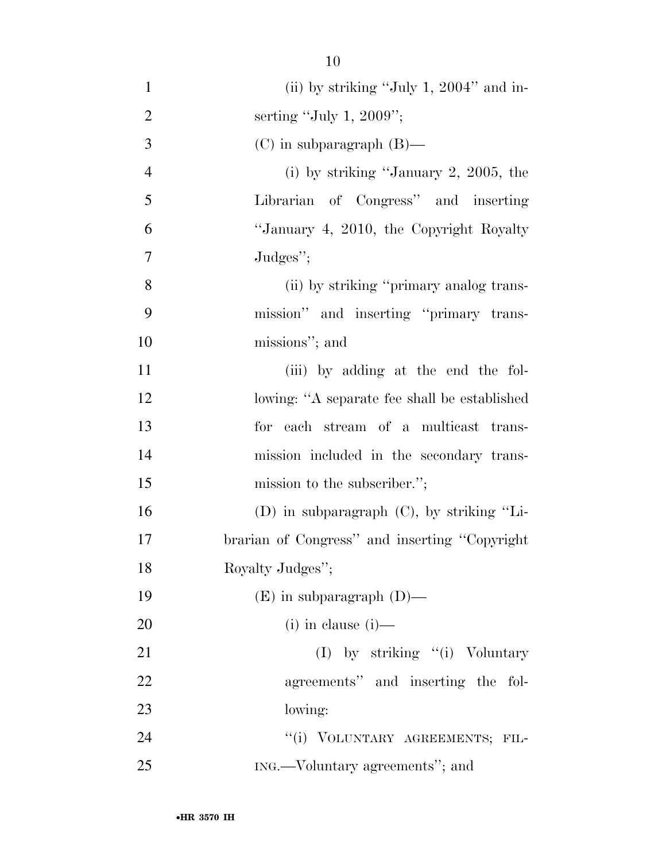- 1 (ii) by striking "July 1, 2004" and in- serting ''July 1, 2009''; (C) in subparagraph (B)— (i) by striking ''January 2, 2005, the Librarian of Congress'' and inserting ''January 4, 2010, the Copyright Royalty Judges''; (ii) by striking ''primary analog trans- mission'' and inserting ''primary trans- missions''; and 11 (iii) by adding at the end the fol-12 lowing: "A separate fee shall be established for each stream of a multicast trans- mission included in the secondary trans-15 mission to the subscriber."; (D) in subparagraph (C), by striking ''Li- brarian of Congress'' and inserting ''Copyright Royalty Judges''; (E) in subparagraph (D)— (i) in clause (i)— 21 (I) by striking "(i) Voluntary agreements'' and inserting the fol- lowing: 24 "(i) VOLUNTARY AGREEMENTS; FIL-
- ING.—Voluntary agreements''; and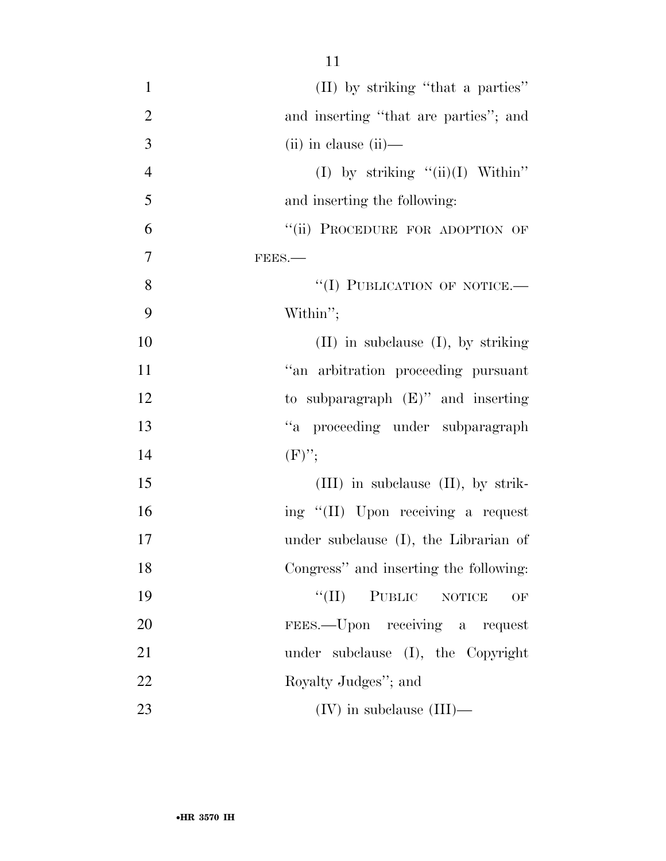| $\mathbf{1}$   | (II) by striking "that a parties"        |
|----------------|------------------------------------------|
| $\overline{2}$ | and inserting "that are parties"; and    |
| 3              | $(ii)$ in clause $(ii)$ —                |
| $\overline{4}$ | (I) by striking $\lq\lq$ (ii)(I) Within" |
| 5              | and inserting the following:             |
| 6              | "(ii) PROCEDURE FOR ADOPTION OF          |
| 7              | FEES.                                    |
| 8              | "(I) PUBLICATION OF NOTICE.-             |
| 9              | Within";                                 |
| 10             | $(II)$ in subclause $(I)$ , by striking  |
| 11             | "an arbitration proceeding pursuant      |
| 12             | to subparagraph $(E)$ " and inserting    |
| 13             | "a proceeding under subparagraph         |
| 14             | $(F)$ ";                                 |
| 15             | $(III)$ in subclause $(II)$ , by strik-  |
| 16             | ing "(II) Upon receiving a request       |
| 17             | under subclause (I), the Librarian of    |
| 18             | Congress" and inserting the following:   |
| 19             | PUBLIC NOTICE<br>$``(\Pi)$<br>OF         |
| 20             | FEES.—Upon receiving a request           |
| 21             | under subclause (I), the Copyright       |
| 22             | Royalty Judges"; and                     |
| 23             | $(IV)$ in subclause $(III)$ —            |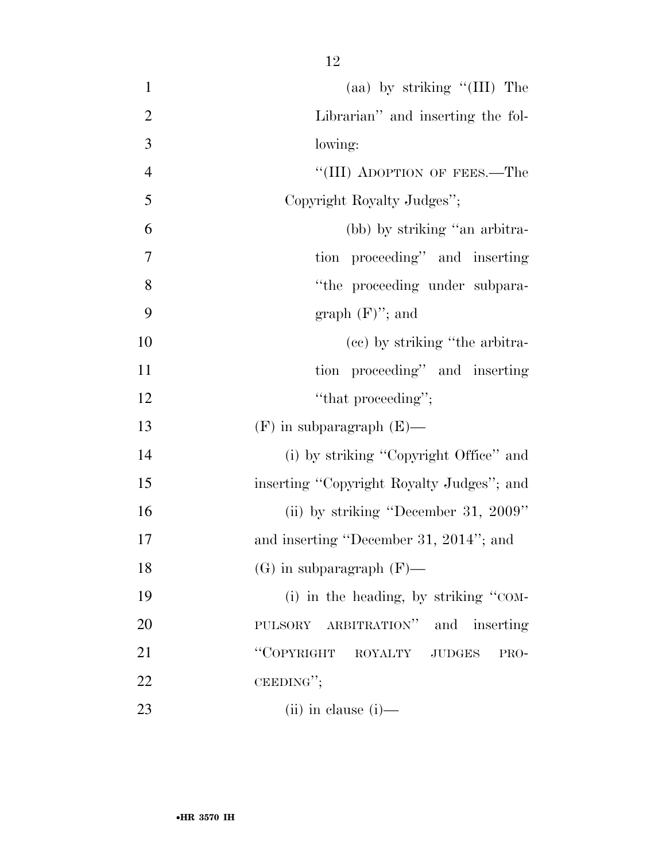| $\mathbf{1}$   | (aa) by striking " $(III)$ The            |
|----------------|-------------------------------------------|
| $\overline{2}$ | Librarian" and inserting the fol-         |
| 3              | lowing:                                   |
| $\overline{4}$ | "(III) ADOPTION OF FEES.—The              |
| 5              | Copyright Royalty Judges";                |
| 6              | (bb) by striking "an arbitra-             |
| 7              | tion proceeding" and inserting            |
| 8              | "the proceeding under subpara-            |
| 9              | graph $(F)$ "; and                        |
| 10             | (ce) by striking "the arbitra-            |
| 11             | tion proceeding" and inserting            |
| 12             | "that proceeding";                        |
| 13             | $(F)$ in subparagraph $(E)$ —             |
| 14             | (i) by striking "Copyright Office" and    |
| 15             | inserting "Copyright Royalty Judges"; and |
| 16             | (ii) by striking "December 31, $2009"$    |
| 17             | and inserting "December 31, 2014"; and    |
| 18             | $(G)$ in subparagraph $(F)$ —             |
| 19             | (i) in the heading, by striking "COM-     |
| 20             | ARBITRATION" and inserting<br>PULSORY     |
| 21             | "COPYRIGHT ROYALTY<br>JUDGES<br>PRO-      |
| 22             | CEEDING";                                 |
| 23             | $(ii)$ in clause $(i)$ —                  |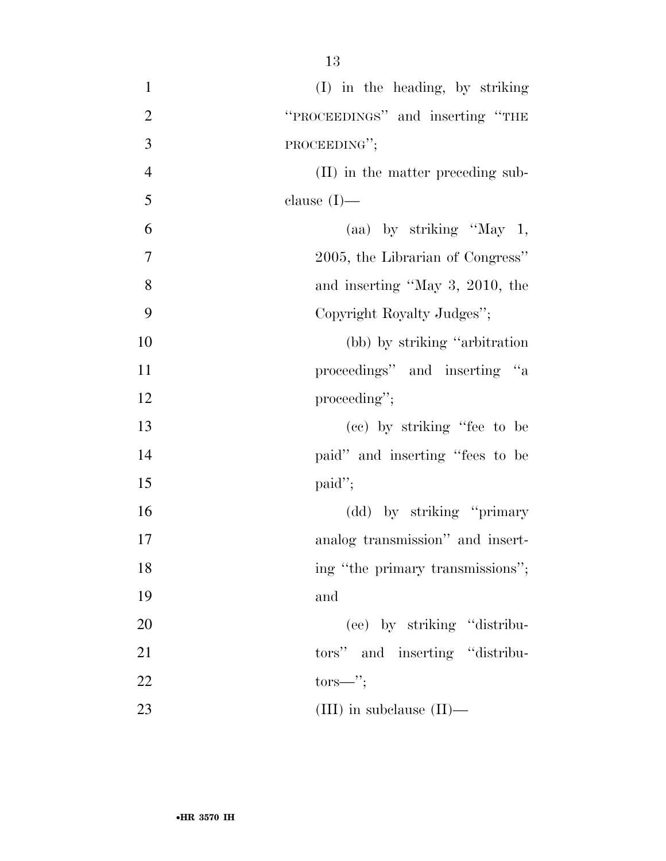| $\mathbf{1}$   | (I) in the heading, by striking   |
|----------------|-----------------------------------|
| $\overline{2}$ | "PROCEEDINGS" and inserting "THE  |
| 3              | PROCEEDING";                      |
| $\overline{4}$ | (II) in the matter preceding sub- |
| 5              | clause $(I)$ —                    |
| 6              | (aa) by striking "May $1$ ,       |
| 7              | 2005, the Librarian of Congress"  |
| 8              | and inserting "May 3, 2010, the   |
| 9              | Copyright Royalty Judges";        |
| 10             | (bb) by striking "arbitration"    |
| 11             | proceedings" and inserting "a     |
| 12             | proceeding";                      |
| 13             | (cc) by striking "fee to be       |
| 14             | paid" and inserting "fees to be   |
| 15             | $paid$ ";                         |
| 16             | (dd) by striking "primary         |
| 17             | analog transmission" and insert-  |
| 18             | ing "the primary transmissions";  |
| 19             | and                               |
| 20             | (ee) by striking "distribu-       |
| 21             | tors" and inserting "distribu-    |
| 22             | $tors—$ ";                        |
| 23             | (III) in subclause $(II)$ —       |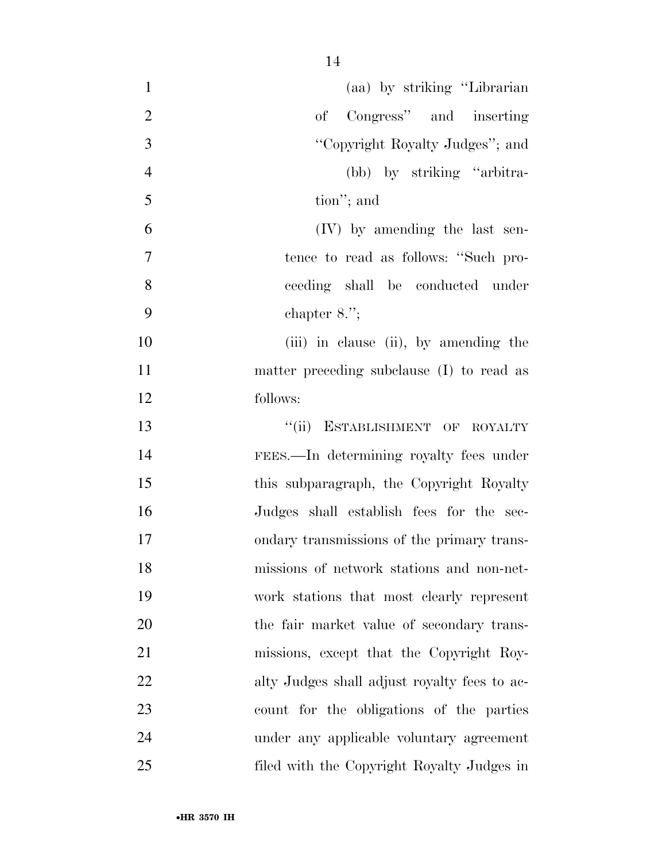| $\mathbf{1}$   | (aa) by striking "Librarian                  |
|----------------|----------------------------------------------|
| $\overline{2}$ | of Congress" and inserting                   |
| 3              | "Copyright Royalty Judges"; and              |
| $\overline{4}$ | (bb) by striking "arbitra-                   |
| 5              | tion"; and                                   |
| 6              | (IV) by amending the last sen-               |
| 7              | tence to read as follows: "Such pro-         |
| 8              | ceeding shall be conducted under             |
| 9              | chapter $8.$ ";                              |
| 10             | (iii) in clause (ii), by amending the        |
| 11             | matter preceding subclause (I) to read as    |
| 12             | follows:                                     |
| 13             | ESTABLISHMENT OF ROYALTY<br>``(ii)           |
| 14             | FEES.—In determining royalty fees under      |
| 15             | this subparagraph, the Copyright Royalty     |
| 16             | Judges shall establish fees for the sec-     |
| 17             | ondary transmissions of the primary trans-   |
| 18             | missions of network stations and non-net-    |
| 19             | work stations that most clearly represent    |
| 20             | the fair market value of secondary trans-    |
| 21             | missions, except that the Copyright Roy-     |
| 22             | alty Judges shall adjust royalty fees to ac- |
| 23             | count for the obligations of the parties     |
| 24             | under any applicable voluntary agreement     |
| 25             | filed with the Copyright Royalty Judges in   |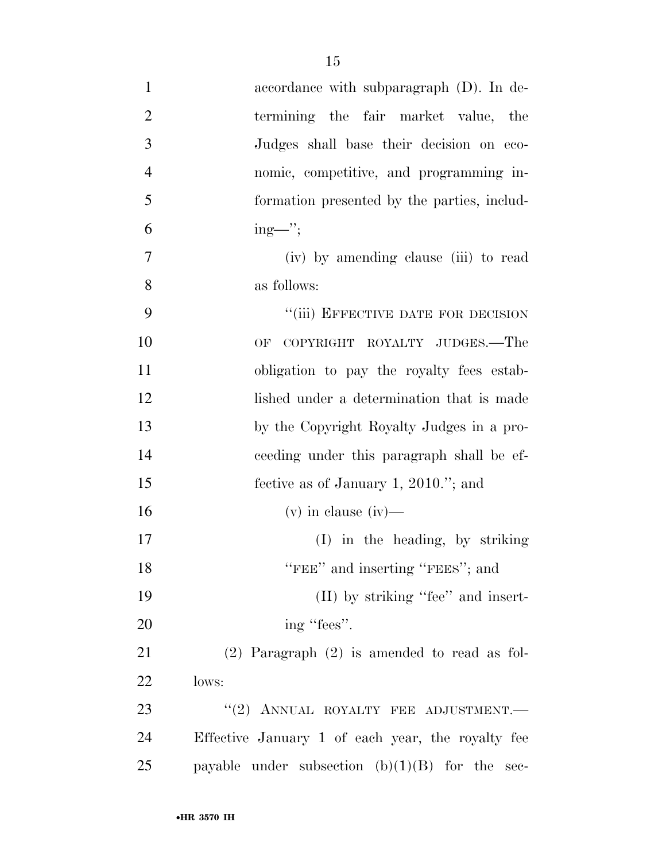| $\mathbf{1}$   | accordance with subparagraph $(D)$ . In de-          |
|----------------|------------------------------------------------------|
| $\overline{2}$ | termining the fair market value, the                 |
| 3              | Judges shall base their decision on eco-             |
| $\overline{4}$ | nomic, competitive, and programming in-              |
| 5              | formation presented by the parties, includ-          |
| 6              | $ing$ —";                                            |
| 7              | (iv) by amending clause (iii) to read                |
| 8              | as follows:                                          |
| 9              | "(iii) EFFECTIVE DATE FOR DECISION                   |
| 10             | COPYRIGHT ROYALTY JUDGES.—The<br>OF                  |
| 11             | obligation to pay the royalty fees estab-            |
| 12             | lished under a determination that is made            |
| 13             | by the Copyright Royalty Judges in a pro-            |
| 14             | ceeding under this paragraph shall be ef-            |
| 15             | fective as of January 1, 2010."; and                 |
| 16             | $(v)$ in clause $(iv)$ —                             |
| 17             | (I) in the heading, by striking                      |
| 18             | "FEE" and inserting "FEES"; and                      |
| 19             | (II) by striking "fee" and insert-                   |
| 20             | ing "fees".                                          |
| 21             | $(2)$ Paragraph $(2)$ is amended to read as fol-     |
| 22             | lows:                                                |
| 23             | $``(2)$ ANNUAL ROYALTY FEE ADJUSTMENT.               |
| 24             | Effective January 1 of each year, the royalty fee    |
| 25             | payable under subsection $(b)(1)(B)$ for the<br>sec- |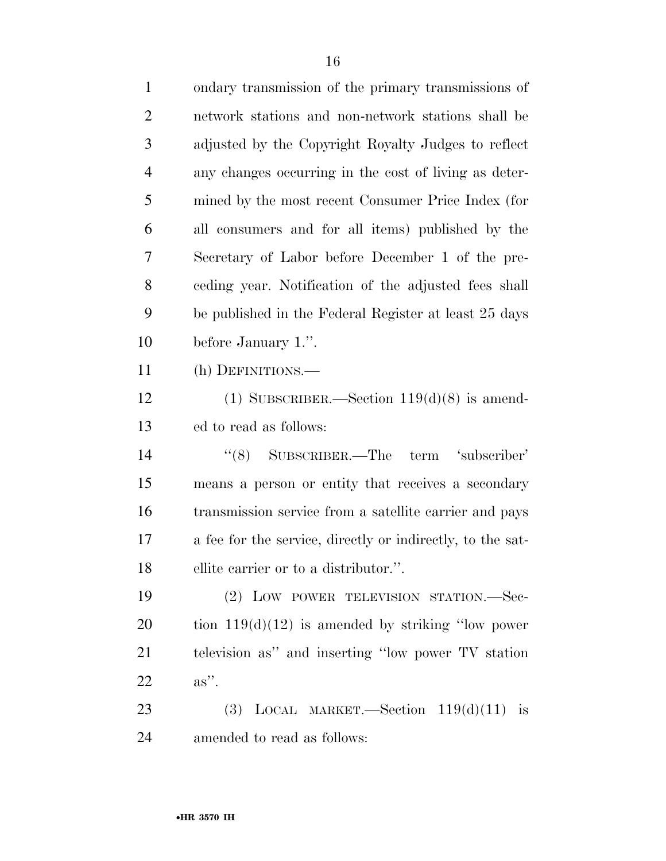| $\mathbf{1}$   | ondary transmission of the primary transmissions of        |
|----------------|------------------------------------------------------------|
| $\overline{c}$ | network stations and non-network stations shall be         |
| 3              | adjusted by the Copyright Royalty Judges to reflect        |
| $\overline{4}$ | any changes occurring in the cost of living as deter-      |
| 5              | mined by the most recent Consumer Price Index (for         |
| 6              | all consumers and for all items) published by the          |
| 7              | Secretary of Labor before December 1 of the pre-           |
| 8              | ceding year. Notification of the adjusted fees shall       |
| 9              | be published in the Federal Register at least 25 days      |
| 10             | before January 1.".                                        |
| 11             | (h) DEFINITIONS.—                                          |
| 12             | (1) SUBSCRIBER.—Section $119(d)(8)$ is amend-              |
| 13             | ed to read as follows:                                     |
| 14             | $\cdot$ (8) SUBSCRIBER.—The<br>term 'subscriber'           |
| 15             | means a person or entity that receives a secondary         |
| 16             | transmission service from a satellite carrier and pays     |
| 17             | a fee for the service, directly or indirectly, to the sat- |
| 18             | ellite carrier or to a distributor.".                      |
| 19             | (2) LOW POWER TELEVISION STATION.—Sec-                     |
| 20             | tion $119(d)(12)$ is amended by striking "low power"       |
| 21             | television as" and inserting "low power TV station"        |
| 22             | $as$ ".                                                    |
| 23             | (3) LOCAL MARKET. Section $119(d)(11)$ is                  |
| 24             | amended to read as follows:                                |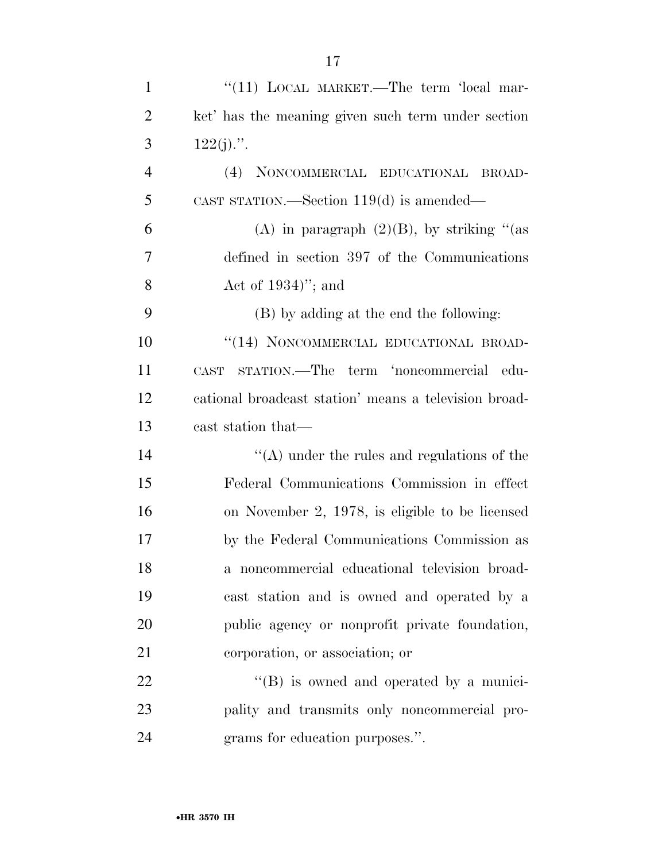| $\mathbf{1}$   | "(11) LOCAL MARKET.—The term 'local mar-                 |
|----------------|----------------------------------------------------------|
| $\overline{2}$ | ket' has the meaning given such term under section       |
| 3              | $122(j)$ .".                                             |
| $\overline{4}$ | NONCOMMERCIAL EDUCATIONAL BROAD-<br>(4)                  |
| 5              | CAST STATION.—Section $119(d)$ is amended—               |
| 6              | (A) in paragraph $(2)(B)$ , by striking "(as             |
| 7              | defined in section 397 of the Communications             |
| 8              | Act of $1934$ "; and                                     |
| 9              | (B) by adding at the end the following:                  |
| 10             | "(14) NONCOMMERCIAL EDUCATIONAL BROAD-                   |
| 11             | STATION.—The term 'noncommercial<br>-edu-<br><b>CAST</b> |
| 12             | cational broadcast station' means a television broad-    |
| 13             | cast station that—                                       |
| 14             | $\lq\lq$ under the rules and regulations of the          |
| 15             | Federal Communications Commission in effect              |
| 16             | on November 2, 1978, is eligible to be licensed          |
| 17             | by the Federal Communications Commission as              |
| 18             | a noncommercial educational television broad-            |
| 19             | cast station and is owned and operated by a              |
| 20             | public agency or nonprofit private foundation,           |
| 21             | corporation, or association; or                          |
| 22             | $\lq\lq (B)$ is owned and operated by a munici-          |
| 23             | pality and transmits only noncommercial pro-             |
| 24             | grams for education purposes.".                          |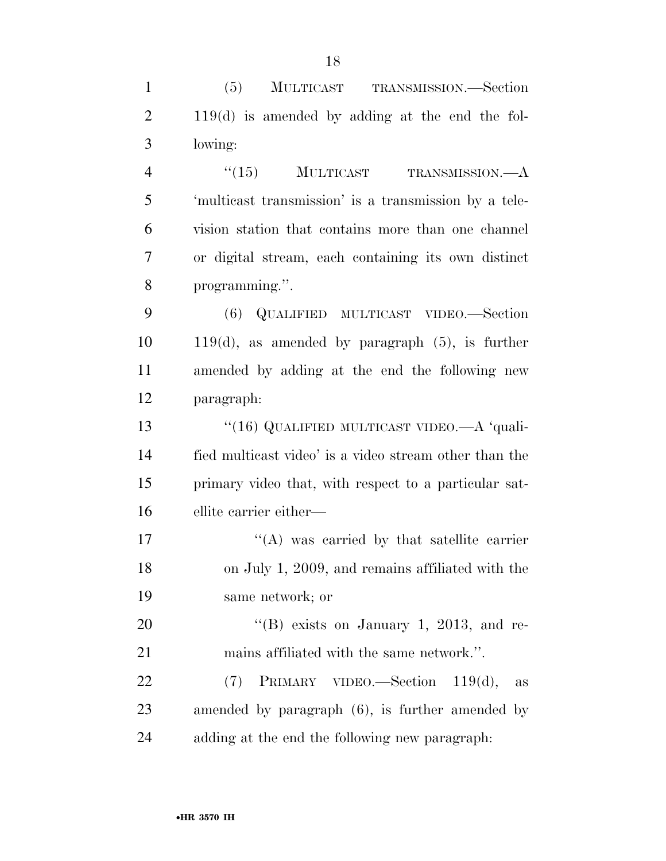(5) MULTICAST TRANSMISSION.—Section 119(d) is amended by adding at the end the fol-lowing:

4 "(15) MULTICAST TRANSMISSION.—A 'multicast transmission' is a transmission by a tele- vision station that contains more than one channel or digital stream, each containing its own distinct programming.''.

 (6) QUALIFIED MULTICAST VIDEO.—Section 119(d), as amended by paragraph (5), is further amended by adding at the end the following new paragraph:

13 "(16) QUALIFIED MULTICAST VIDEO.—A 'quali- fied multicast video' is a video stream other than the primary video that, with respect to a particular sat-ellite carrier either—

 $'$ (A) was carried by that satellite carrier on July 1, 2009, and remains affiliated with the same network; or

20  $"$ (B) exists on January 1, 2013, and re-mains affiliated with the same network.''.

 (7) PRIMARY VIDEO.—Section 119(d), as amended by paragraph (6), is further amended by adding at the end the following new paragraph: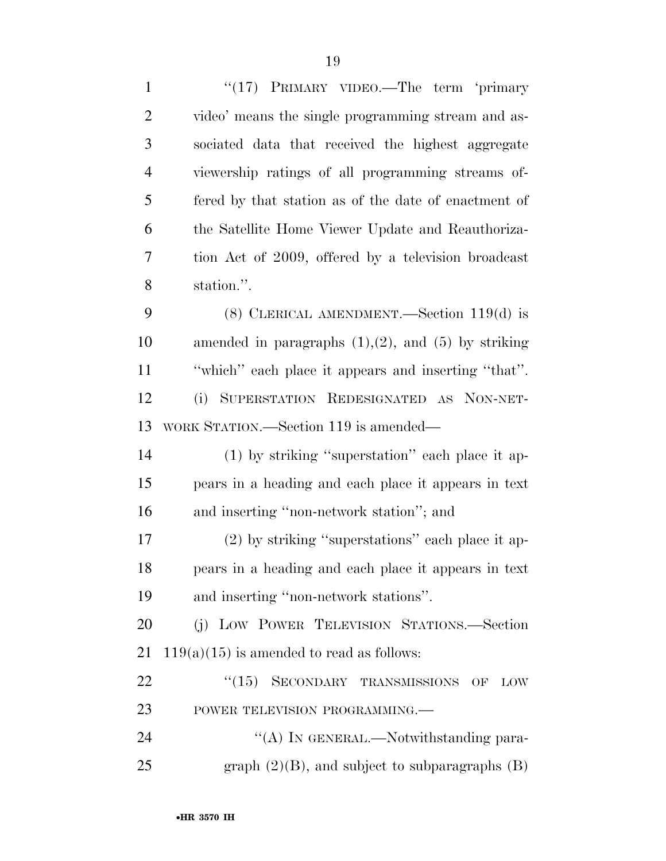1 "(17) PRIMARY VIDEO.—The term 'primary video' means the single programming stream and as- sociated data that received the highest aggregate viewership ratings of all programming streams of- fered by that station as of the date of enactment of the Satellite Home Viewer Update and Reauthoriza- tion Act of 2009, offered by a television broadcast station.''. (8) CLERICAL AMENDMENT.—Section 119(d) is 10 amended in paragraphs  $(1),(2)$ , and  $(5)$  by striking ''which'' each place it appears and inserting ''that''. (i) SUPERSTATION REDESIGNATED AS NON-NET- WORK STATION.—Section 119 is amended— (1) by striking ''superstation'' each place it ap- pears in a heading and each place it appears in text and inserting ''non-network station''; and (2) by striking ''superstations'' each place it ap- pears in a heading and each place it appears in text and inserting ''non-network stations''. (j) LOW POWER TELEVISION STATIONS.—Section 21 119(a)(15) is amended to read as follows: 22 "(15) SECONDARY TRANSMISSIONS OF LOW 23 POWER TELEVISION PROGRAMMING. 24 "(A) IN GENERAL.—Notwithstanding para-25 graph  $(2)(B)$ , and subject to subparagraphs  $(B)$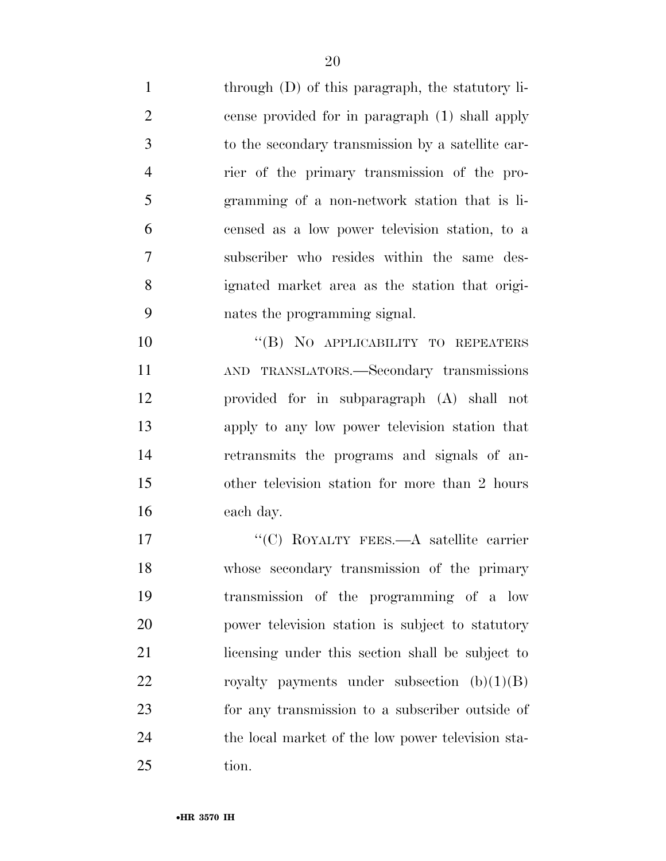through (D) of this paragraph, the statutory li- cense provided for in paragraph (1) shall apply to the secondary transmission by a satellite car- rier of the primary transmission of the pro- gramming of a non-network station that is li- censed as a low power television station, to a subscriber who resides within the same des- ignated market area as the station that origi-nates the programming signal.

10 "(B) NO APPLICABILITY TO REPEATERS AND TRANSLATORS.—Secondary transmissions provided for in subparagraph (A) shall not apply to any low power television station that retransmits the programs and signals of an- other television station for more than 2 hours each day.

17 "'(C) ROYALTY FEES.—A satellite carrier whose secondary transmission of the primary transmission of the programming of a low power television station is subject to statutory licensing under this section shall be subject to 22 royalty payments under subsection  $(b)(1)(B)$  for any transmission to a subscriber outside of the local market of the low power television sta-25 tion.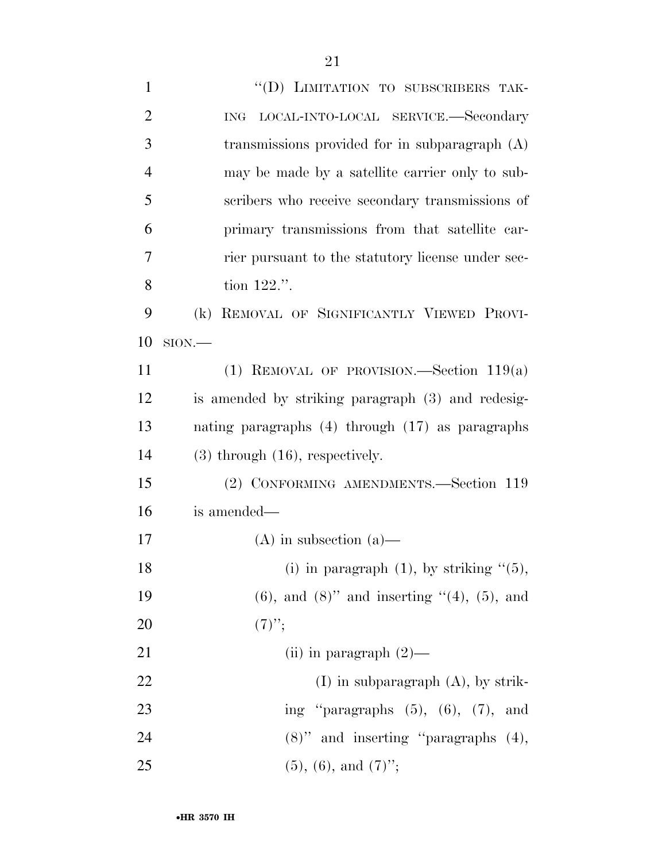| $\mathbf{1}$   | "(D) LIMITATION TO SUBSCRIBERS TAK-                     |
|----------------|---------------------------------------------------------|
| $\overline{2}$ | LOCAL-INTO-LOCAL SERVICE.—Secondary<br><b>ING</b>       |
| 3              | transmissions provided for in subparagraph $(A)$        |
| $\overline{4}$ | may be made by a satellite carrier only to sub-         |
| 5              | scribers who receive secondary transmissions of         |
| 6              | primary transmissions from that satellite car-          |
| 7              | rier pursuant to the statutory license under sec-       |
| 8              | tion $122$ .".                                          |
| 9              | REMOVAL OF SIGNIFICANTLY VIEWED PROVI-<br>(k)           |
| 10             | $SION$ .                                                |
| 11             | (1) REMOVAL OF PROVISION.—Section $119(a)$              |
| 12             | is amended by striking paragraph (3) and redesig-       |
| 13             | nating paragraphs $(4)$ through $(17)$ as paragraphs    |
| 14             | $(3)$ through $(16)$ , respectively.                    |
| 15             | (2) CONFORMING AMENDMENTS.-Section 119                  |
| 16             | is amended—                                             |
| 17             | $(A)$ in subsection $(a)$ —                             |
| 18             | (i) in paragraph $(1)$ , by striking " $(5)$ ,          |
| 19             | $(6)$ , and $(8)$ " and inserting " $(4)$ , $(5)$ , and |
| 20             | $(7)$ ";                                                |
| 21             | (ii) in paragraph $(2)$ —                               |
| 22             | $(I)$ in subparagraph $(A)$ , by strik-                 |
| 23             | ing "paragraphs $(5)$ , $(6)$ , $(7)$ , and             |
| 24             | $(8)$ " and inserting "paragraphs $(4)$ ,               |
| 25             | $(5)$ , $(6)$ , and $(7)$ ";                            |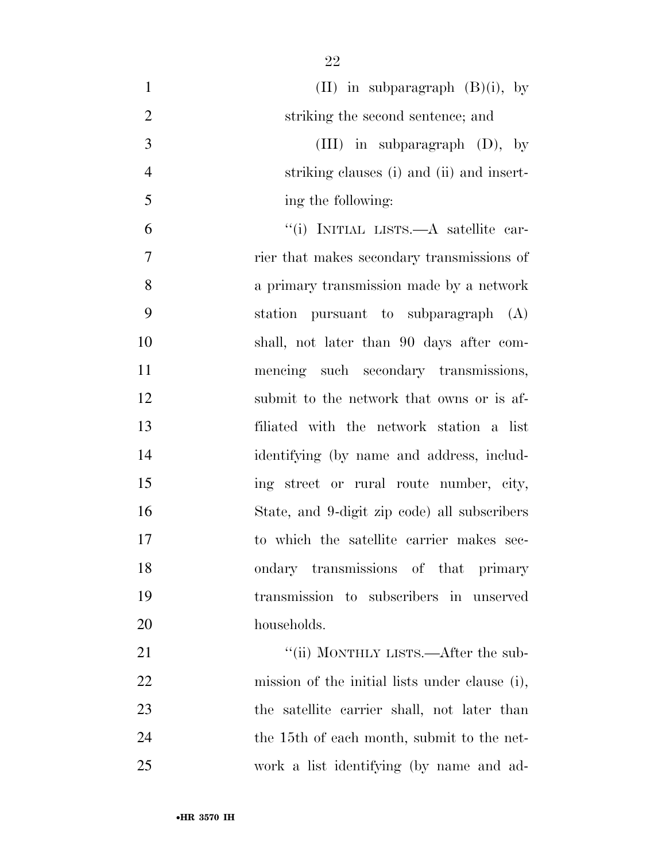| $\mathbf{1}$   | (II) in subparagraph $(B)(i)$ , by             |
|----------------|------------------------------------------------|
| $\overline{2}$ | striking the second sentence; and              |
| 3              | (III) in subparagraph $(D)$ , by               |
| $\overline{4}$ | striking clauses (i) and (ii) and insert-      |
| 5              | ing the following:                             |
| 6              | "(i) INITIAL LISTS.—A satellite car-           |
| 7              | rier that makes secondary transmissions of     |
| 8              | a primary transmission made by a network       |
| 9              | station pursuant to subparagraph (A)           |
| 10             | shall, not later than 90 days after com-       |
| 11             | mencing such secondary transmissions,          |
| 12             | submit to the network that owns or is af-      |
| 13             | filiated with the network station a list       |
| 14             | identifying (by name and address, includ-      |
| 15             | ing street or rural route number, city,        |
| 16             | State, and 9-digit zip code) all subscribers   |
| 17             | to which the satellite carrier makes sec-      |
| 18             | ondary transmissions of that primary           |
| 19             | transmission to subscribers in unserved        |
| 20             | households.                                    |
| 21             | "(ii) MONTHLY LISTS.—After the sub-            |
| 22             | mission of the initial lists under clause (i), |
| 23             | the satellite carrier shall, not later than    |
| 24             | the 15th of each month, submit to the net-     |
| 25             | work a list identifying (by name and ad-       |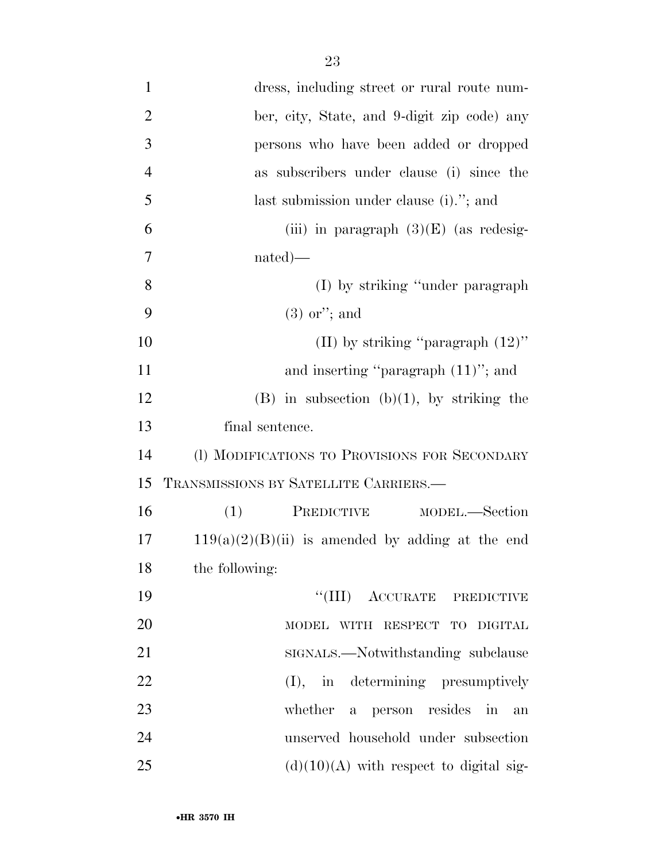| $\mathbf{1}$   | dress, including street or rural route num-        |
|----------------|----------------------------------------------------|
| $\overline{2}$ | ber, city, State, and 9-digit zip code) any        |
| 3              | persons who have been added or dropped             |
| $\overline{4}$ | as subscribers under clause (i) since the          |
| 5              | last submission under clause (i)."; and            |
| 6              | (iii) in paragraph $(3)(E)$ (as redesig-           |
| 7              | $nated)$ —                                         |
| 8              | (I) by striking "under paragraph"                  |
| 9              | $(3)$ or"; and                                     |
| 10             | (II) by striking "paragraph $(12)$ "               |
| 11             | and inserting "paragraph $(11)$ "; and             |
| 12             | $(B)$ in subsection $(b)(1)$ , by striking the     |
| 13             | final sentence.                                    |
| 14             | (I) MODIFICATIONS TO PROVISIONS FOR SECONDARY      |
| 15             | TRANSMISSIONS BY SATELLITE CARRIERS.—              |
| 16             | PREDICTIVE MODEL.—Section<br>(1)                   |
| 17             | $119(a)(2)(B)(ii)$ is amended by adding at the end |
| 18             | the following:                                     |
| 19             | "(III) ACCURATE PREDICTIVE                         |
| 20             | MODEL WITH RESPECT TO DIGITAL                      |
| 21             | SIGNALS.—Notwithstanding subclause                 |
| 22             | (I), in determining presumptively                  |
| 23             | whether a person resides in<br>an                  |
| 24             | unserved household under subsection                |
| 25             | $(d)(10)(A)$ with respect to digital sig-          |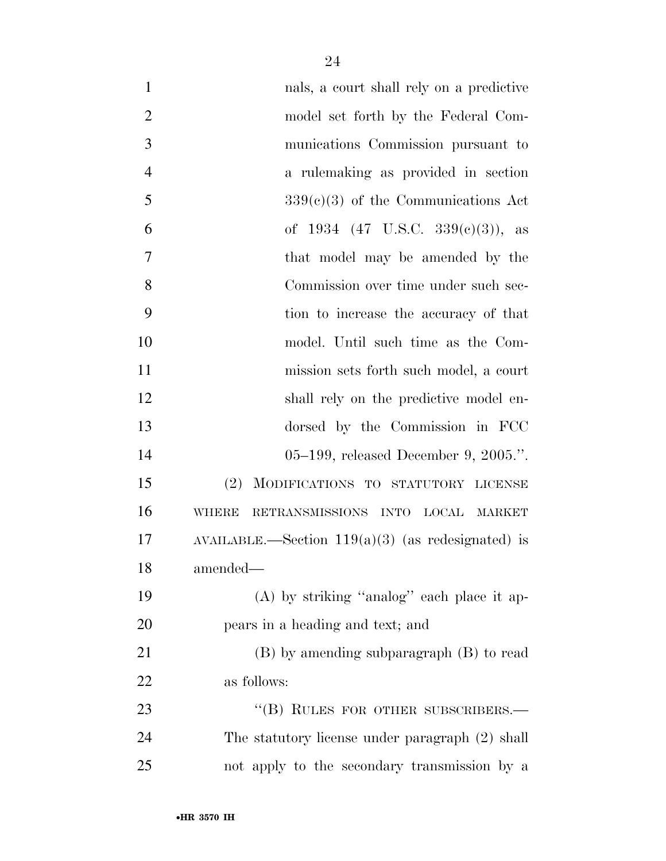| $\mathbf{1}$   | nals, a court shall rely on a predictive            |
|----------------|-----------------------------------------------------|
| $\overline{2}$ | model set forth by the Federal Com-                 |
| 3              | munications Commission pursuant to                  |
| $\overline{4}$ | a rulemaking as provided in section                 |
| 5              | $339(e)(3)$ of the Communications Act               |
| 6              | of 1934 (47 U.S.C. 339 $(e)(3)$ ), as               |
| 7              | that model may be amended by the                    |
| 8              | Commission over time under such sec-                |
| 9              | tion to increase the accuracy of that               |
| 10             | model. Until such time as the Com-                  |
| 11             | mission sets forth such model, a court              |
| 12             | shall rely on the predictive model en-              |
| 13             | dorsed by the Commission in FCC                     |
| 14             | 05–199, released December 9, 2005.".                |
| 15             | MODIFICATIONS TO STATUTORY LICENSE<br>(2)           |
| 16             | RETRANSMISSIONS INTO LOCAL MARKET<br><b>WHERE</b>   |
| 17             | AVAILABLE.—Section $119(a)(3)$ (as redesignated) is |
| 18             | amended—                                            |
| 19             | $(A)$ by striking "analog" each place it ap-        |
| 20             | pears in a heading and text; and                    |
| 21             | $(B)$ by amending subparagraph $(B)$ to read        |
| 22             | as follows:                                         |
| 23             | "(B) RULES FOR OTHER SUBSCRIBERS.-                  |
| 24             | The statutory license under paragraph (2) shall     |
| 25             | not apply to the secondary transmission by a        |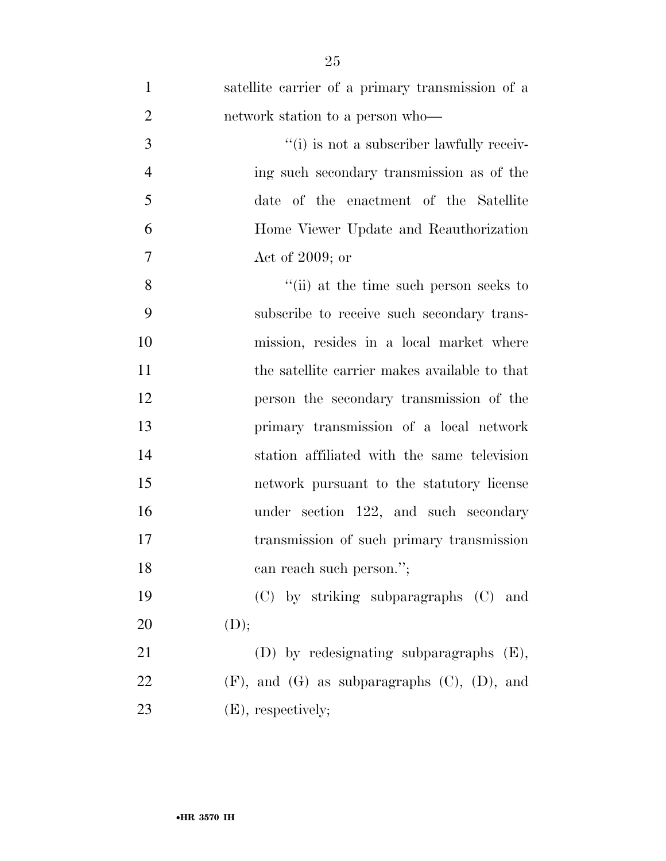| $\mathbf{1}$   | satellite carrier of a primary transmission of a       |
|----------------|--------------------------------------------------------|
| $\overline{2}$ | network station to a person who—                       |
| 3              | "(i) is not a subscriber lawfully receiv-              |
| $\overline{4}$ | ing such secondary transmission as of the              |
| 5              | date of the enactment of the Satellite                 |
| 6              | Home Viewer Update and Reauthorization                 |
| $\overline{7}$ | Act of $2009$ ; or                                     |
| 8              | "(ii) at the time such person seeks to                 |
| 9              | subscribe to receive such secondary trans-             |
| 10             | mission, resides in a local market where               |
| 11             | the satellite carrier makes available to that          |
| 12             | person the secondary transmission of the               |
| 13             | primary transmission of a local network                |
| 14             | station affiliated with the same television            |
| 15             | network pursuant to the statutory license              |
| 16             | under section 122, and such secondary                  |
| 17             | transmission of such primary transmission              |
| 18             | can reach such person.";                               |
| 19             | (C) by striking subparagraphs (C) and                  |
| 20             | (D);                                                   |
| 21             | $(D)$ by redesignating subparagraphs $(E)$ ,           |
| 22             | $(F)$ , and $(G)$ as subparagraphs $(C)$ , $(D)$ , and |
| 23             | $(E)$ , respectively;                                  |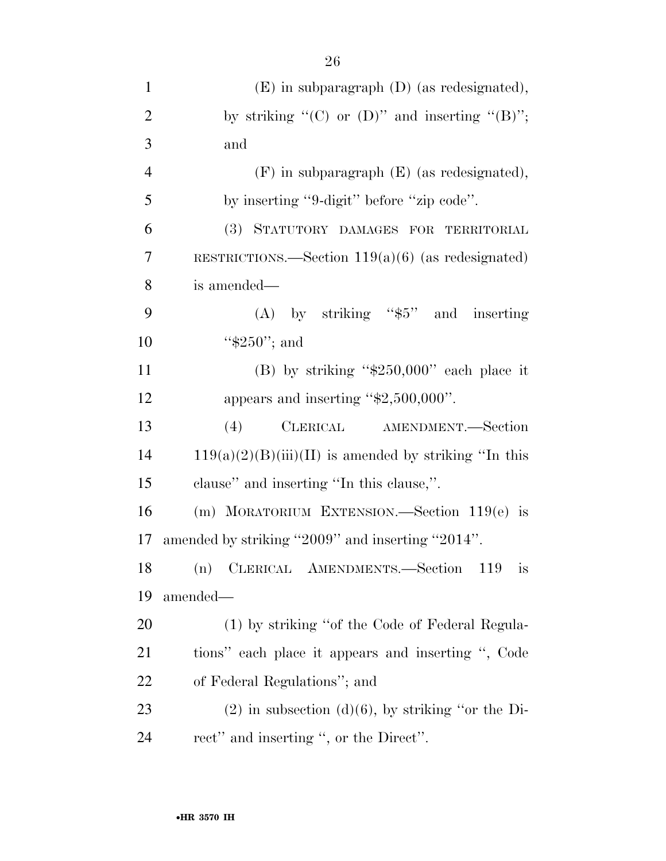| $\mathbf{1}$   | $(E)$ in subparagraph $(D)$ (as redesignated),          |
|----------------|---------------------------------------------------------|
| $\overline{2}$ | by striking " $(C)$ or $(D)$ " and inserting " $(B)$ "; |
| 3              | and                                                     |
| $\overline{4}$ | $(F)$ in subparagraph $(E)$ (as redesignated),          |
| 5              | by inserting "9-digit" before "zip code".               |
| 6              | (3) STATUTORY DAMAGES FOR TERRITORIAL                   |
| 7              | RESTRICTIONS.—Section $119(a)(6)$ (as redesignated)     |
| 8              | is amended—                                             |
| 9              | (A) by striking " $$5"$ and inserting                   |
| 10             | " $$250"$ ; and                                         |
| 11             | (B) by striking " $$250,000"$ each place it             |
| 12             | appears and inserting " $$2,500,000$ ".                 |
| 13             | CLERICAL AMENDMENT.-Section<br>(4)                      |
| 14             | $119(a)(2)(B(iii)(II)$ is amended by striking "In this  |
| 15             | clause" and inserting "In this clause,".                |
| 16             | (m) MORATORIUM EXTENSION.—Section $119(e)$ is           |
| 17             | amended by striking "2009" and inserting "2014".        |
| 18             | (n) CLERICAL AMENDMENTS.-Section 119<br>1S              |
| 19             | amended—                                                |
| 20             | (1) by striking "of the Code of Federal Regula-         |
| 21             | tions" each place it appears and inserting ", Code      |
| 22             | of Federal Regulations"; and                            |
| 23             | $(2)$ in subsection $(d)(6)$ , by striking "or the Di-  |
| 24             | rect" and inserting ", or the Direct".                  |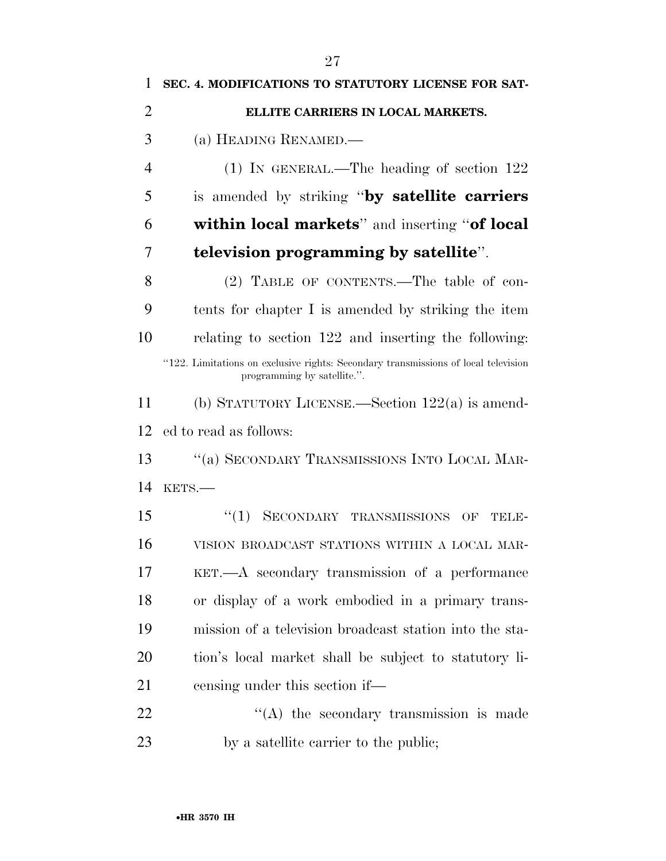| 1              | SEC. 4. MODIFICATIONS TO STATUTORY LICENSE FOR SAT-                                                               |
|----------------|-------------------------------------------------------------------------------------------------------------------|
| $\overline{2}$ | ELLITE CARRIERS IN LOCAL MARKETS.                                                                                 |
| 3              | (a) HEADING RENAMED.—                                                                                             |
| $\overline{4}$ | $(1)$ IN GENERAL.—The heading of section 122                                                                      |
| 5              | is amended by striking "by satellite carriers"                                                                    |
| 6              | <b>within local markets</b> " and inserting "of local                                                             |
| 7              | television programming by satellite".                                                                             |
| 8              | (2) TABLE OF CONTENTS.—The table of con-                                                                          |
| 9              | tents for chapter I is amended by striking the item                                                               |
| 10             | relating to section 122 and inserting the following:                                                              |
|                | "122. Limitations on exclusive rights: Secondary transmissions of local television<br>programming by satellite.". |
| 11             | (b) STATUTORY LICENSE.—Section $122(a)$ is amend-                                                                 |
| 12             | ed to read as follows:                                                                                            |
| 13             | "(a) SECONDARY TRANSMISSIONS INTO LOCAL MAR-                                                                      |
| 14             | KETS.-                                                                                                            |
| 15             | SECONDARY TRANSMISSIONS OF<br>``(1)<br>тини-                                                                      |
| 16             | VISION BROADCAST STATIONS WITHIN A LOCAL MAR-                                                                     |
| 17             | KET.—A secondary transmission of a performance                                                                    |
| 18             | or display of a work embodied in a primary trans-                                                                 |
| 19             | mission of a television broadcast station into the sta-                                                           |
| 20             | tion's local market shall be subject to statutory li-                                                             |
| 21             | censing under this section if—                                                                                    |
| 22             | $\lq\lq$ the secondary transmission is made                                                                       |
| 23             | by a satellite carrier to the public;                                                                             |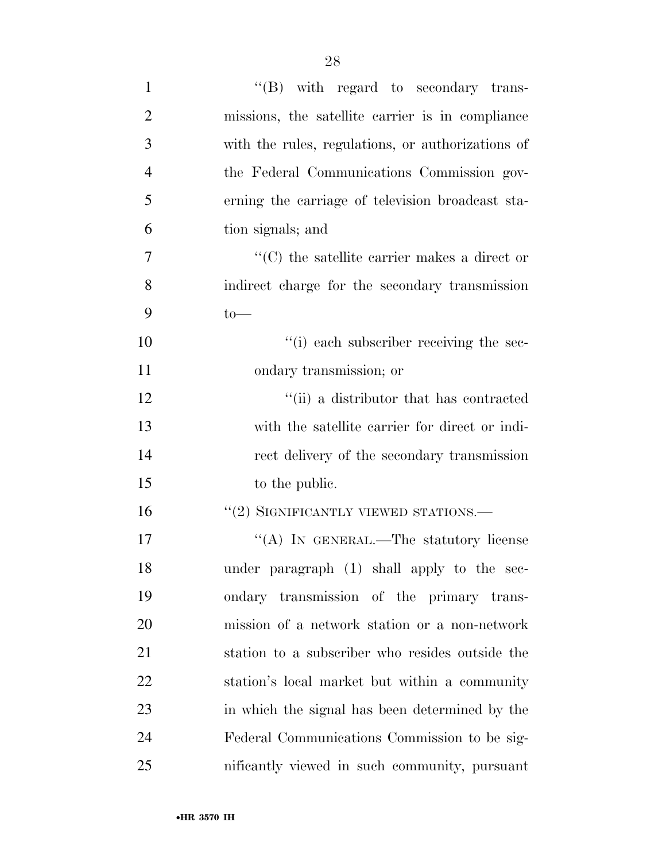| $\mathbf{1}$   | $\lq\lq(B)$ with regard to secondary trans-         |
|----------------|-----------------------------------------------------|
| $\overline{2}$ | missions, the satellite carrier is in compliance    |
| 3              | with the rules, regulations, or authorizations of   |
| $\overline{4}$ | the Federal Communications Commission gov-          |
| 5              | erning the carriage of television broadcast sta-    |
| 6              | tion signals; and                                   |
| 7              | $\cdot$ (C) the satellite carrier makes a direct or |
| 8              | indirect charge for the secondary transmission      |
| 9              | $to-$                                               |
| 10             | "(i) each subscriber receiving the sec-             |
| 11             | ondary transmission; or                             |
| 12             | "(ii) a distributor that has contracted             |
| 13             | with the satellite carrier for direct or indi-      |
| 14             | rect delivery of the secondary transmission         |
| 15             | to the public.                                      |
| 16             | "(2) SIGNIFICANTLY VIEWED STATIONS.-                |
| 17             | "(A) IN GENERAL.—The statutory license              |
| 18             | under paragraph (1) shall apply to the sec-         |
| 19             | ondary transmission of the primary trans-           |
| 20             | mission of a network station or a non-network       |
| 21             | station to a subscriber who resides outside the     |
| 22             | station's local market but within a community       |
| 23             | in which the signal has been determined by the      |
| 24             | Federal Communications Commission to be sig-        |
| 25             | nificantly viewed in such community, pursuant       |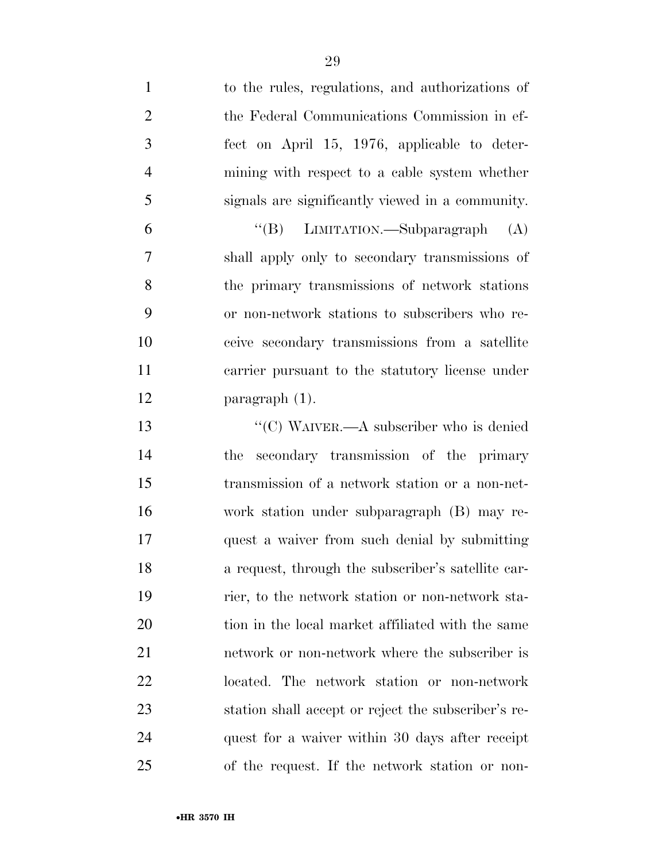| $\mathbf{1}$   | to the rules, regulations, and authorizations of    |
|----------------|-----------------------------------------------------|
| $\overline{2}$ | the Federal Communications Commission in ef-        |
| 3              | fect on April 15, 1976, applicable to deter-        |
| $\overline{4}$ | mining with respect to a cable system whether       |
| 5              | signals are significantly viewed in a community.    |
| 6              | "(B) LIMITATION.—Subparagraph<br>(A)                |
| $\overline{7}$ | shall apply only to secondary transmissions of      |
| 8              | the primary transmissions of network stations       |
| 9              | or non-network stations to subscribers who re-      |
| 10             | ceive secondary transmissions from a satellite      |
| 11             | carrier pursuant to the statutory license under     |
| 12             | $\frac{1}{2}$ paragraph (1).                        |
| 13             | "(C) WAIVER.—A subscriber who is denied             |
| 14             | secondary transmission of the primary<br>the        |
| 15             | transmission of a network station or a non-net-     |
| 16             | work station under subparagraph (B) may re-         |
| 17             | quest a waiver from such denial by submitting       |
| 18             | a request, through the subscriber's satellite car-  |
| 19             | rier, to the network station or non-network sta-    |
| 20             | tion in the local market affiliated with the same   |
| 21             | network or non-network where the subscriber is      |
| 22             | located. The network station or non-network         |
| 23             | station shall accept or reject the subscriber's re- |
| 24             | quest for a waiver within 30 days after receipt     |
| 25             | of the request. If the network station or non-      |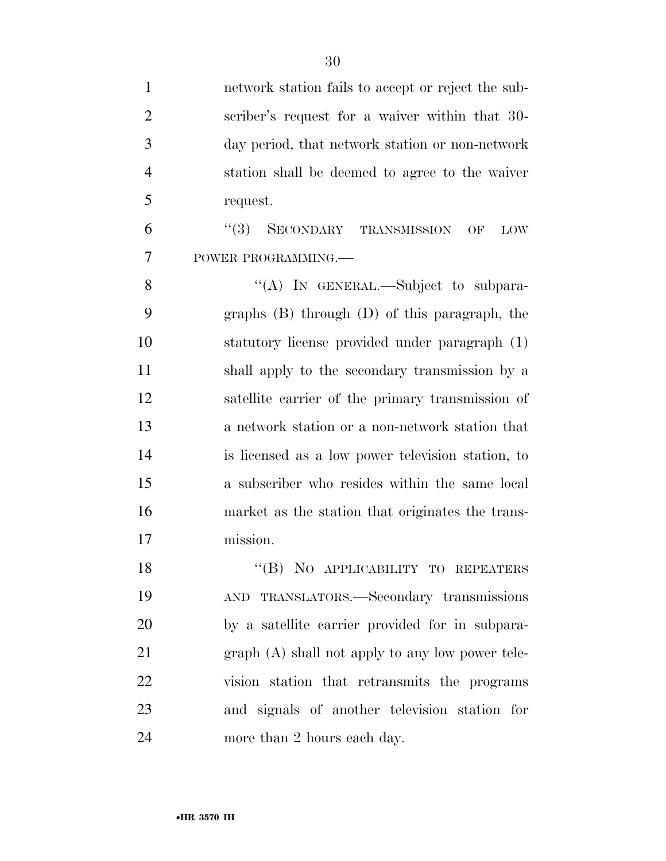| $\mathbf{1}$   | network station fails to accept or reject the sub- |
|----------------|----------------------------------------------------|
| $\overline{2}$ | scriber's request for a waiver within that 30-     |
| 3              | day period, that network station or non-network    |
| $\overline{4}$ | station shall be deemed to agree to the waiver     |
| 5              | request.                                           |
| 6              | (3)<br>SECONDARY TRANSMISSION<br>OF<br><b>LOW</b>  |
| 7              | POWER PROGRAMMING.                                 |
| 8              | "(A) IN GENERAL.—Subject to subpara-               |
| 9              | graphs $(B)$ through $(D)$ of this paragraph, the  |
| 10             | statutory license provided under paragraph (1)     |
| 11             | shall apply to the secondary transmission by a     |
| 12             | satellite carrier of the primary transmission of   |
| 13             | a network station or a non-network station that    |
| 14             | is licensed as a low power television station, to  |
| 15             | a subscriber who resides within the same local     |
| 16             | market as the station that originates the trans-   |
| 17             | mission.                                           |
| 18             | "(B) NO APPLICABILITY TO REPEATERS                 |
| 19             | AND TRANSLATORS.-Secondary transmissions           |
| 20             | by a satellite carrier provided for in subpara-    |
| 21             | $graph(A)$ shall not apply to any low power tele-  |
| 22             | vision station that retransmits the programs       |
| 23             | and signals of another television station for      |
| 24             | more than 2 hours each day.                        |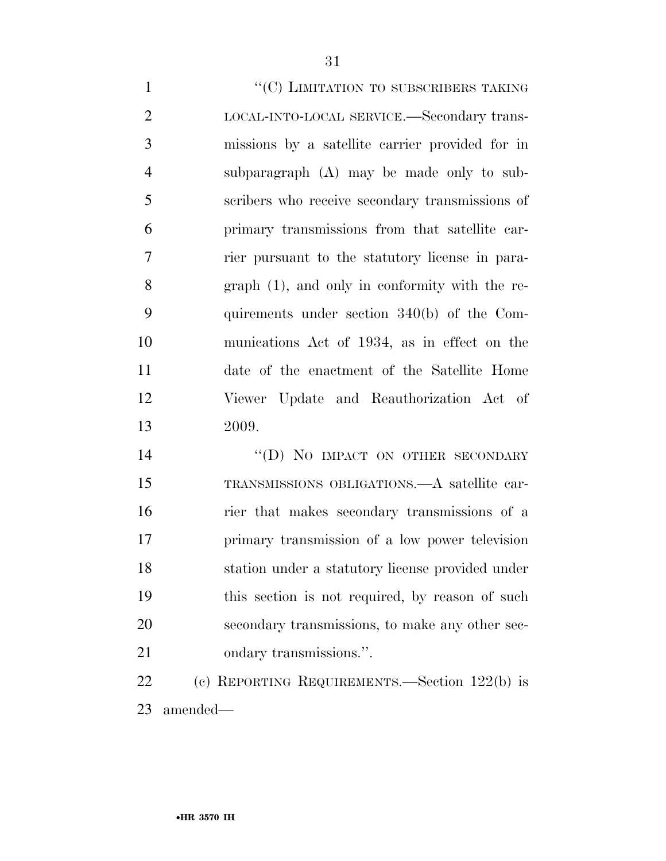$"({\rm C})$  LIMITATION TO SUBSCRIBERS TAKING LOCAL-INTO-LOCAL SERVICE.—Secondary trans- missions by a satellite carrier provided for in subparagraph (A) may be made only to sub- scribers who receive secondary transmissions of primary transmissions from that satellite car- rier pursuant to the statutory license in para- graph (1), and only in conformity with the re- quirements under section 340(b) of the Com- munications Act of 1934, as in effect on the date of the enactment of the Satellite Home Viewer Update and Reauthorization Act of 2009.

14 "(D) NO IMPACT ON OTHER SECONDARY TRANSMISSIONS OBLIGATIONS.—A satellite car- rier that makes secondary transmissions of a primary transmission of a low power television station under a statutory license provided under this section is not required, by reason of such secondary transmissions, to make any other sec-ondary transmissions.''.

 (c) REPORTING REQUIREMENTS.—Section 122(b) is amended—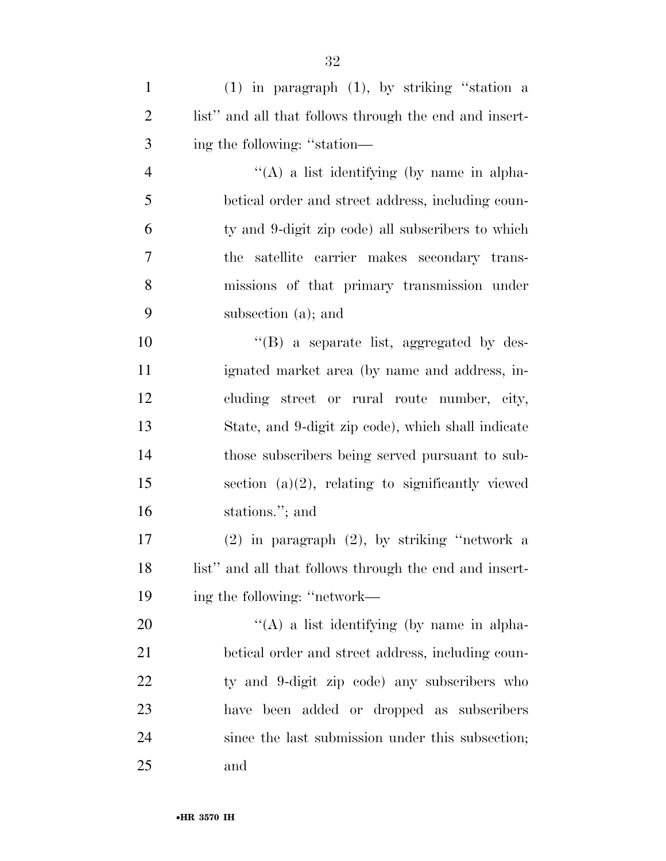| $\mathbf{1}$   | $(1)$ in paragraph $(1)$ , by striking "station a      |
|----------------|--------------------------------------------------------|
| $\overline{2}$ | list" and all that follows through the end and insert- |
| 3              | ing the following: "station—                           |
| $\overline{4}$ | "(A) a list identifying (by name in alpha-             |
| 5              | betical order and street address, including coun-      |
| 6              | ty and 9-digit zip code) all subscribers to which      |
| 7              | satellite carrier makes secondary trans-<br>the        |
| 8              | missions of that primary transmission under            |
| 9              | subsection (a); and                                    |
| 10             | $\lq\lq$ a separate list, aggregated by des-           |
| 11             | ignated market area (by name and address, in-          |
| 12             | cluding street or rural route number, city,            |
| 13             | State, and 9-digit zip code), which shall indicate     |
| 14             | those subscribers being served pursuant to sub-        |
| 15             | section $(a)(2)$ , relating to significantly viewed    |
| 16             | stations."; and                                        |
| 17             | $(2)$ in paragraph $(2)$ , by striking "network a      |
| 18             | list" and all that follows through the end and insert- |
| 19             | ing the following: "network—                           |
| 20             | "(A) a list identifying (by name in alpha-             |
| 21             | betical order and street address, including coun-      |
| 22             | ty and 9-digit zip code) any subscribers who           |
| 23             | have been added or dropped as subscribers              |
| 24             | since the last submission under this subsection;       |
| 25             | and                                                    |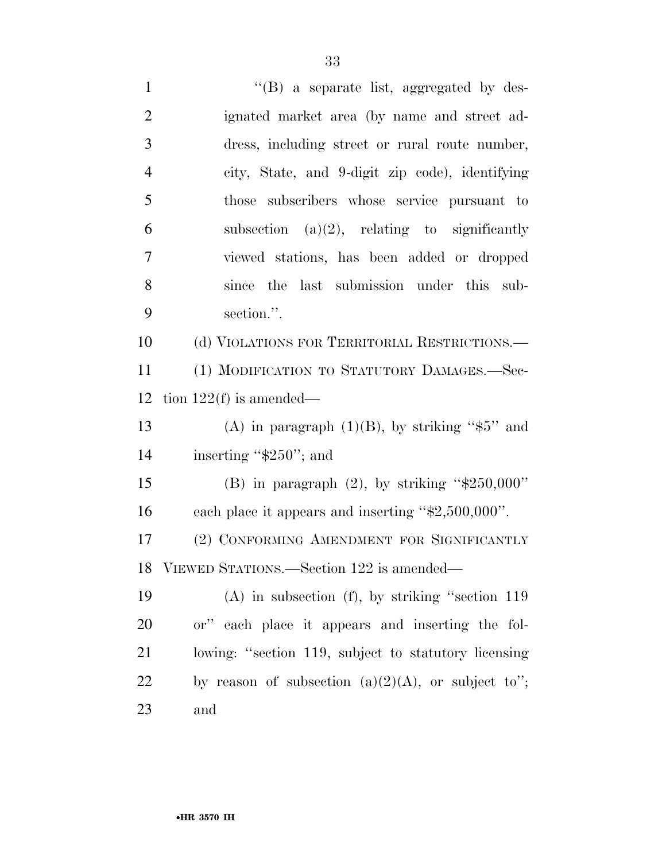1 ''(B) a separate list, aggregated by des- ignated market area (by name and street ad- dress, including street or rural route number, city, State, and 9-digit zip code), identifying those subscribers whose service pursuant to 6 subsection (a) $(2)$ , relating to significantly viewed stations, has been added or dropped since the last submission under this sub- section.''. (d) VIOLATIONS FOR TERRITORIAL RESTRICTIONS.— (1) MODIFICATION TO STATUTORY DAMAGES.—Sec-12 tion  $122(f)$  is amended— 13 (A) in paragraph  $(1)(B)$ , by striking "\$5" and 14 inserting "\$250"; and 15 (B) in paragraph  $(2)$ , by striking " $$250,000"$  each place it appears and inserting ''\$2,500,000''. (2) CONFORMING AMENDMENT FOR SIGNIFICANTLY VIEWED STATIONS.—Section 122 is amended— (A) in subsection (f), by striking ''section 119 or'' each place it appears and inserting the fol- lowing: ''section 119, subject to statutory licensing 22 by reason of subsection  $(a)(2)(A)$ , or subject to";

and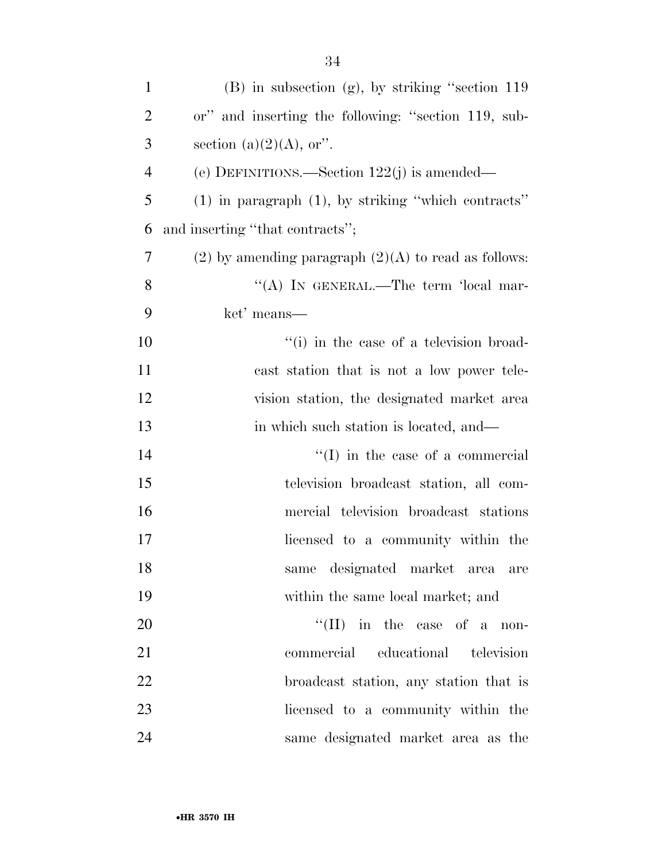| $\mathbf{1}$   | (B) in subsection (g), by striking "section 119          |
|----------------|----------------------------------------------------------|
| $\overline{2}$ | or" and inserting the following: "section 119, sub-      |
| 3              | section (a) $(2)(A)$ , or".                              |
| 4              | (e) DEFINITIONS.—Section $122(j)$ is amended—            |
| 5              | $(1)$ in paragraph $(1)$ , by striking "which contracts" |
| 6              | and inserting "that contracts";                          |
| 7              | (2) by amending paragraph $(2)(A)$ to read as follows:   |
| 8              | "(A) IN GENERAL.—The term 'local mar-                    |
| 9              | ket' means—                                              |
| 10             | "(i) in the case of a television broad-                  |
| 11             | cast station that is not a low power tele-               |
| 12             | vision station, the designated market area               |
| 13             | in which such station is located, and—                   |
| 14             | $\lq\lq$ (I) in the case of a commercial                 |
| 15             | television broadcast station, all com-                   |
| 16             | mercial television broadcast stations                    |
| 17             | licensed to a community within the                       |
| 18             | same designated market area are                          |
| 19             | within the same local market; and                        |
| 20             | $\lq\lq$ (II) in the case of a non-                      |
| 21             | commercial educational television                        |
| 22             | broadcast station, any station that is                   |
| 23             | licensed to a community within the                       |
| 24             | same designated market area as the                       |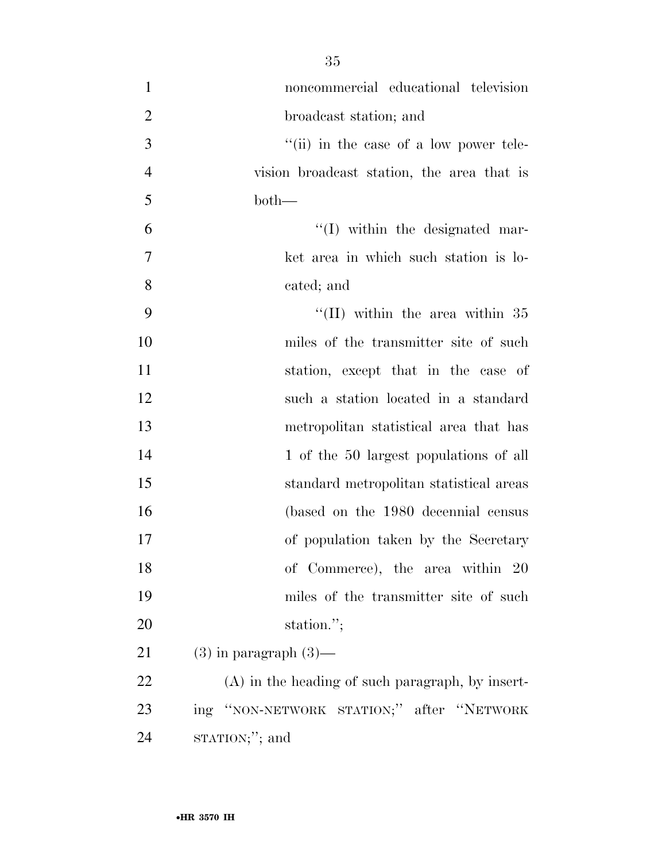| $\mathbf{1}$   | noncommercial educational television               |
|----------------|----------------------------------------------------|
| $\overline{2}$ | broadcast station; and                             |
| 3              | $``$ (ii) in the case of a low power tele-         |
| $\overline{4}$ | vision broadcast station, the area that is         |
| 5              | $both-$                                            |
| 6              | $\lq\lq$ within the designated mar-                |
| $\tau$         | ket area in which such station is lo-              |
| 8              | cated; and                                         |
| 9              | "(II) within the area within $35$                  |
| 10             | miles of the transmitter site of such              |
| 11             | station, except that in the case of                |
| 12             | such a station located in a standard               |
| 13             | metropolitan statistical area that has             |
| 14             | 1 of the 50 largest populations of all             |
| 15             | standard metropolitan statistical areas            |
| 16             | (based on the 1980 decennial census                |
| 17             | of population taken by the Secretary               |
| 18             | of Commerce), the area within 20                   |
| 19             | miles of the transmitter site of such              |
| 20             | station.";                                         |
| 21             | $(3)$ in paragraph $(3)$ —                         |
| 22             | $(A)$ in the heading of such paragraph, by insert- |
| 23             | ing "NON-NETWORK STATION;" after "NETWORK          |
| 24             | $STATION;$ "; and                                  |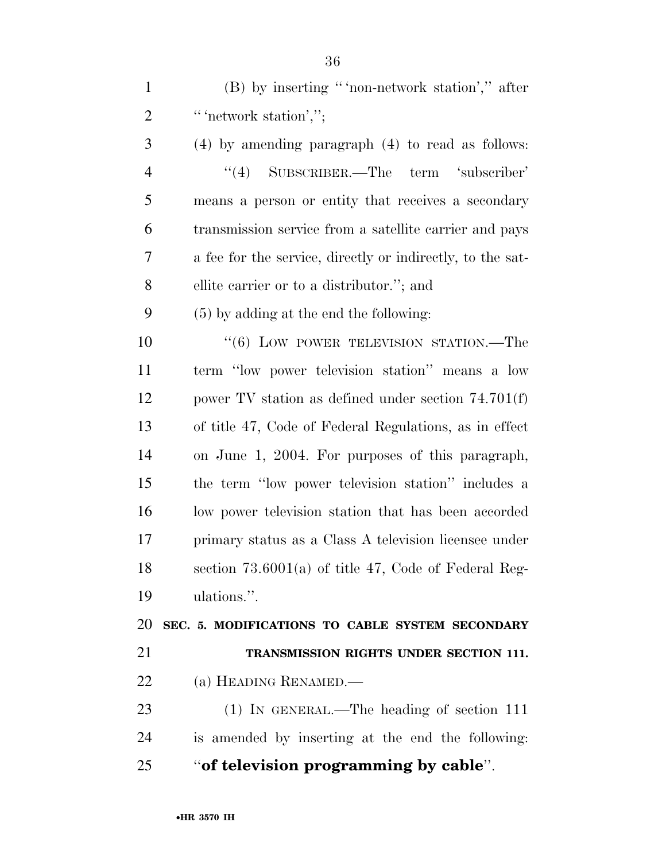(B) by inserting '' 'non-network station','' after 2 " " network station',";

 (4) by amending paragraph (4) to read as follows: ''(4) SUBSCRIBER.—The term 'subscriber' means a person or entity that receives a secondary transmission service from a satellite carrier and pays a fee for the service, directly or indirectly, to the sat-ellite carrier or to a distributor.''; and

(5) by adding at the end the following:

 $(6)$  LOW POWER TELEVISION STATION.—The term ''low power television station'' means a low power TV station as defined under section 74.701(f) of title 47, Code of Federal Regulations, as in effect on June 1, 2004. For purposes of this paragraph, the term ''low power television station'' includes a low power television station that has been accorded primary status as a Class A television licensee under section 73.6001(a) of title 47, Code of Federal Reg-ulations.''.

 **SEC. 5. MODIFICATIONS TO CABLE SYSTEM SECONDARY TRANSMISSION RIGHTS UNDER SECTION 111.** 

(a) HEADING RENAMED.—

 (1) IN GENERAL.—The heading of section 111 is amended by inserting at the end the following: ''**of television programming by cable**''.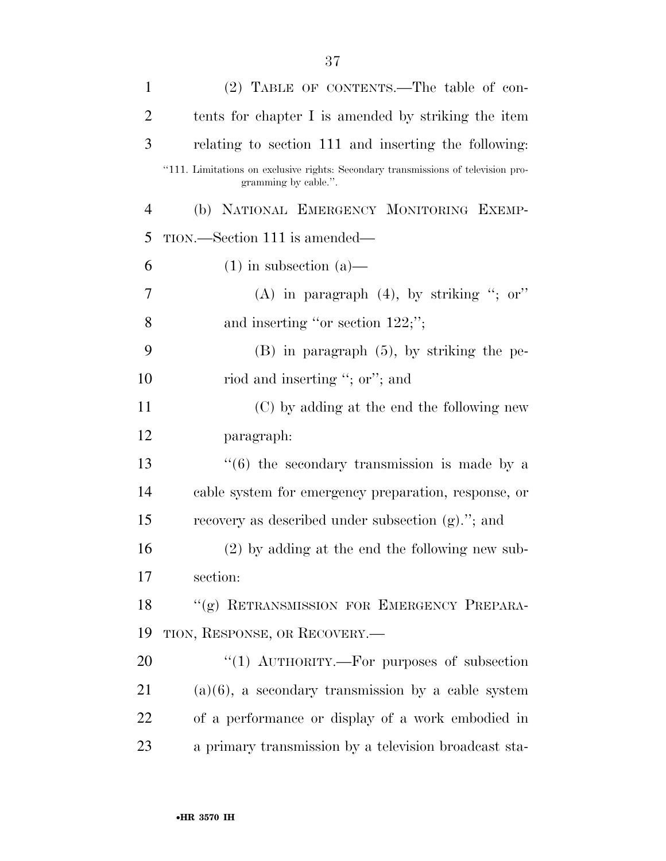| $\mathbf{1}$   | (2) TABLE OF CONTENTS.—The table of con-                                                                  |
|----------------|-----------------------------------------------------------------------------------------------------------|
| $\overline{2}$ | tents for chapter I is amended by striking the item                                                       |
| 3              | relating to section 111 and inserting the following:                                                      |
|                | "111. Limitations on exclusive rights: Secondary transmissions of television pro-<br>gramming by cable.". |
| $\overline{4}$ | (b) NATIONAL EMERGENCY MONITORING EXEMP-                                                                  |
| 5              | TION.—Section 111 is amended—                                                                             |
| 6              | $(1)$ in subsection $(a)$ —                                                                               |
| 7              | (A) in paragraph $(4)$ , by striking "; or"                                                               |
| 8              | and inserting "or section $122$ ;";                                                                       |
| 9              | $(B)$ in paragraph $(5)$ , by striking the pe-                                                            |
| 10             | riod and inserting "; or"; and                                                                            |
| 11             | (C) by adding at the end the following new                                                                |
| 12             | paragraph:                                                                                                |
| 13             | $\cdot\cdot\cdot(6)$ the secondary transmission is made by a                                              |
| 14             | cable system for emergency preparation, response, or                                                      |
| 15             | recovery as described under subsection $(g)$ ."; and                                                      |
| 16             | $(2)$ by adding at the end the following new sub-                                                         |
| 17             | section:                                                                                                  |
| 18             | "(g) RETRANSMISSION FOR EMERGENCY PREPARA-                                                                |
| 19             | TION, RESPONSE, OR RECOVERY.                                                                              |
| 20             | "(1) $\text{AUTHORITY.}$ For purposes of subsection                                                       |
| 21             | $(a)(6)$ , a secondary transmission by a cable system                                                     |
| 22             | of a performance or display of a work embodied in                                                         |
| 23             | a primary transmission by a television broadcast sta-                                                     |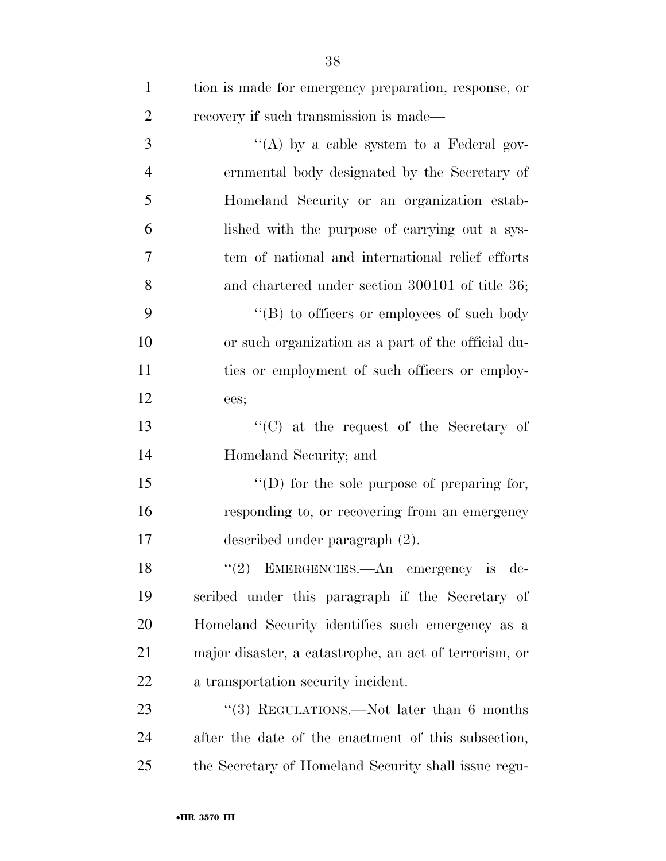| $\mathbf{1}$   | tion is made for emergency preparation, response, or   |
|----------------|--------------------------------------------------------|
| $\overline{2}$ | recovery if such transmission is made—                 |
| 3              | "(A) by a cable system to a Federal gov-               |
| $\overline{4}$ | ernmental body designated by the Secretary of          |
| 5              | Homeland Security or an organization estab-            |
| 6              | lished with the purpose of carrying out a sys-         |
| 7              | tem of national and international relief efforts       |
| 8              | and chartered under section 300101 of title 36;        |
| 9              | $\lq\lq (B)$ to officers or employees of such body     |
| 10             | or such organization as a part of the official du-     |
| 11             | ties or employment of such officers or employ-         |
| 12             | ees;                                                   |
| 13             | "(C) at the request of the Secretary of                |
| 14             | Homeland Security; and                                 |
| 15             | $\lq\lq$ (D) for the sole purpose of preparing for,    |
| 16             | responding to, or recovering from an emergency         |
| 17             | described under paragraph (2).                         |
| 18             | "(2) EMERGENCIES.—An emergency is de-                  |
| 19             | scribed under this paragraph if the Secretary of       |
| 20             | Homeland Security identifies such emergency as a       |
| 21             | major disaster, a catastrophe, an act of terrorism, or |
| 22             | a transportation security incident.                    |
| 23             | "(3) REGULATIONS.—Not later than 6 months              |
| 24             | after the date of the enactment of this subsection,    |
| 25             | the Secretary of Homeland Security shall issue regu-   |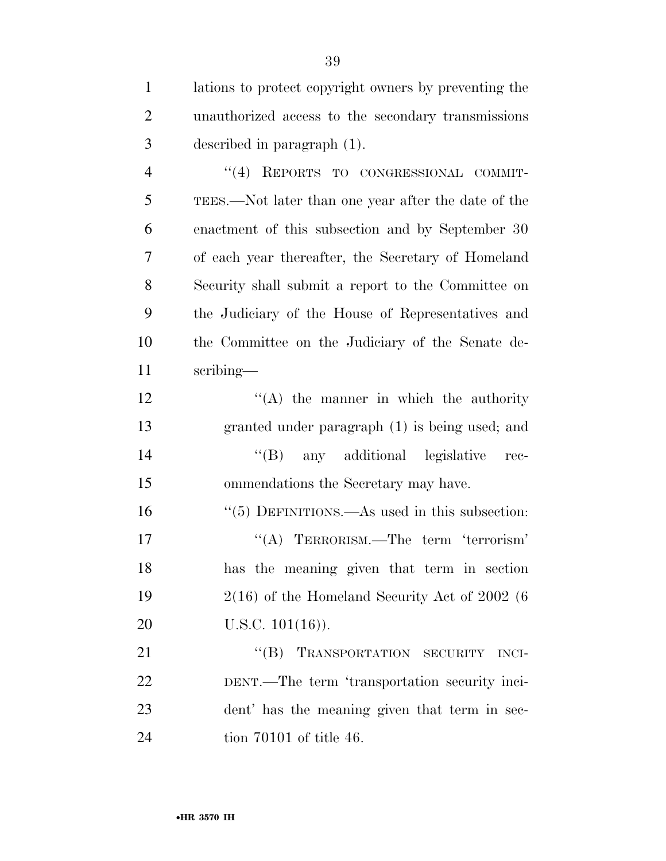lations to protect copyright owners by preventing the unauthorized access to the secondary transmissions described in paragraph (1). ''(4) REPORTS TO CONGRESSIONAL COMMIT- TEES.—Not later than one year after the date of the enactment of this subsection and by September 30 of each year thereafter, the Secretary of Homeland Security shall submit a report to the Committee on the Judiciary of the House of Representatives and the Committee on the Judiciary of the Senate de- scribing—  $'$ (A) the manner in which the authority granted under paragraph (1) is being used; and ''(B) any additional legislative rec- ommendations the Secretary may have. 16 "(5) DEFINITIONS.—As used in this subsection: ''(A) TERRORISM.—The term 'terrorism' has the meaning given that term in section 2(16) of the Homeland Security Act of 2002 (6 20 U.S.C. 101(16)). 21 "(B) TRANSPORTATION SECURITY INCI- DENT.—The term 'transportation security inci- dent' has the meaning given that term in sec-tion 70101 of title 46.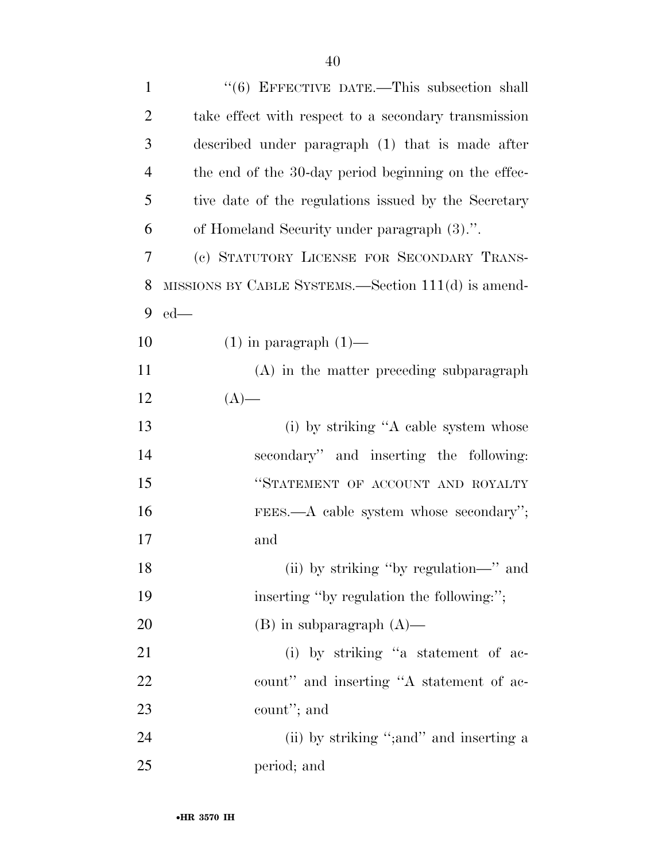| $\mathbf{1}$   | $(6)$ EFFECTIVE DATE.—This subsection shall               |
|----------------|-----------------------------------------------------------|
| $\overline{2}$ | take effect with respect to a secondary transmission      |
| 3              | described under paragraph (1) that is made after          |
| $\overline{4}$ | the end of the 30-day period beginning on the effec-      |
| 5              | tive date of the regulations issued by the Secretary      |
| 6              | of Homeland Security under paragraph (3).".               |
| 7              | (c) STATUTORY LICENSE FOR SECONDARY TRANS-                |
| 8              | $MISSIONS BY CABLE SYSTEMS. - Section 111(d) is amended.$ |
| 9              | $ed$ —                                                    |
| 10             | $(1)$ in paragraph $(1)$ —                                |
| 11             | (A) in the matter preceding subparagraph                  |
| 12             | $(A)$ —                                                   |
| 13             | (i) by striking "A cable system whose                     |
| 14             | secondary" and inserting the following:                   |
| 15             | "STATEMENT OF ACCOUNT AND ROYALTY                         |
| 16             | FEES.—A cable system whose secondary";                    |
| 17             | and                                                       |
| 18             | (ii) by striking "by regulation—" and                     |
| 19             | inserting "by regulation the following:";                 |
| <b>20</b>      | $(B)$ in subparagraph $(A)$ —                             |
| 21             | (i) by striking "a statement of ac-                       |
| 22             | count" and inserting "A statement of ac-                  |
| 23             | count"; and                                               |
| 24             | (ii) by striking "; and" and inserting a                  |
| 25             | period; and                                               |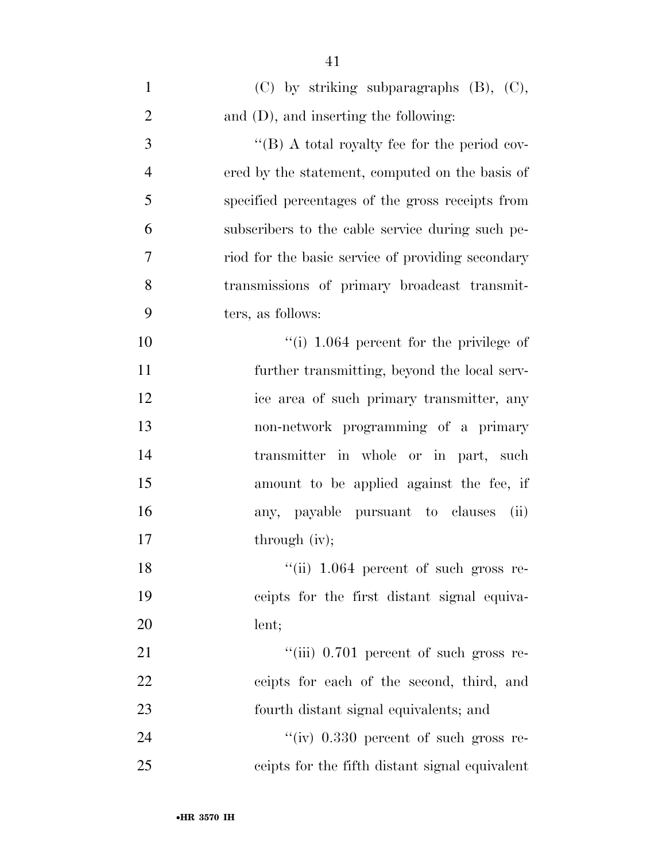| $\mathbf{1}$   | $(C)$ by striking subparagraphs $(B)$ , $(C)$ ,   |
|----------------|---------------------------------------------------|
| $\overline{2}$ | and $(D)$ , and inserting the following:          |
| 3              | "(B) A total royalty fee for the period cov-      |
| $\overline{4}$ | ered by the statement, computed on the basis of   |
| 5              | specified percentages of the gross receipts from  |
| 6              | subscribers to the cable service during such pe-  |
| 7              | riod for the basic service of providing secondary |
| 8              | transmissions of primary broadcast transmit-      |
| 9              | ters, as follows:                                 |
| 10             | "(i) $1.064$ percent for the privilege of         |
| 11             | further transmitting, beyond the local serv-      |
| 12             | ice area of such primary transmitter, any         |
| 13             | non-network programming of a primary              |
| 14             | transmitter in whole or in part, such             |
| 15             | amount to be applied against the fee, if          |
| 16             | any, payable pursuant to clauses<br>(ii)          |
| 17             | through (iv);                                     |
| 18             | "(ii) 1.064 percent of such gross re-             |
| 19             | ceipts for the first distant signal equiva-       |
| 20             | lent;                                             |
| 21             | "(iii) 0.701 percent of such gross re-            |
| 22             | ceipts for each of the second, third, and         |
| 23             | fourth distant signal equivalents; and            |
| 24             | "(iv) $0.330$ percent of such gross re-           |
| 25             | ceipts for the fifth distant signal equivalent    |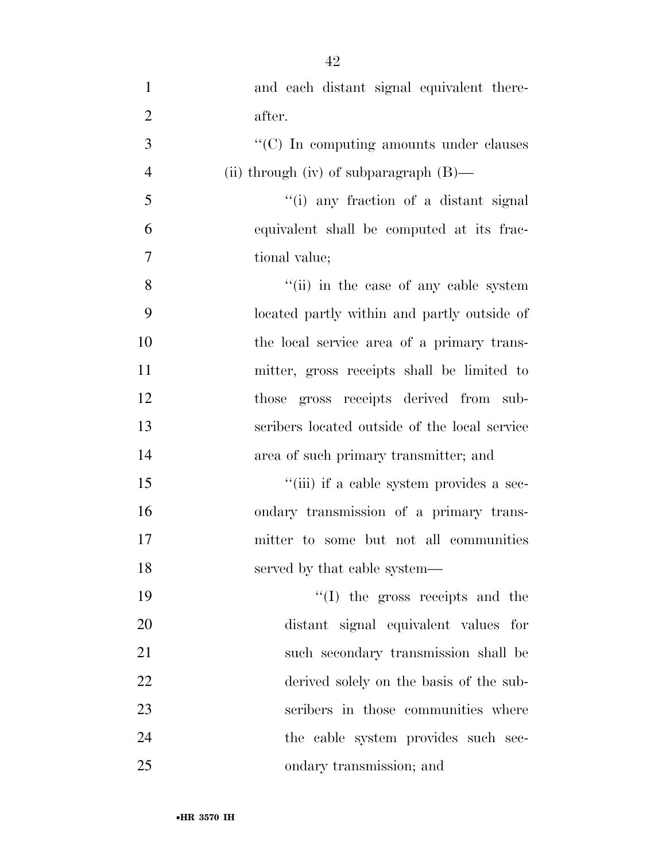| $\mathbf{1}$   | and each distant signal equivalent there-     |
|----------------|-----------------------------------------------|
| $\overline{2}$ | after.                                        |
| 3              | "(C) In computing amounts under clauses       |
| $\overline{4}$ | (ii) through (iv) of subparagraph $(B)$ —     |
| 5              | "(i) any fraction of a distant signal         |
| 6              | equivalent shall be computed at its frac-     |
| 7              | tional value;                                 |
| 8              | "(ii) in the case of any cable system         |
| 9              | located partly within and partly outside of   |
| 10             | the local service area of a primary trans-    |
| 11             | mitter, gross receipts shall be limited to    |
| 12             | those gross receipts derived from sub-        |
| 13             | scribers located outside of the local service |
| 14             | area of such primary transmitter; and         |
| 15             | "(iii) if a cable system provides a sec-      |
| 16             | ondary transmission of a primary trans-       |
| 17             | mitter to some but not all communities        |
| 18             | served by that cable system—                  |
| 19             | "(I) the gross receipts and the               |
| 20             | distant signal equivalent values for          |
| 21             | such secondary transmission shall be          |
| 22             | derived solely on the basis of the sub-       |
| 23             | scribers in those communities where           |
| 24             | the cable system provides such sec-           |
| 25             | ondary transmission; and                      |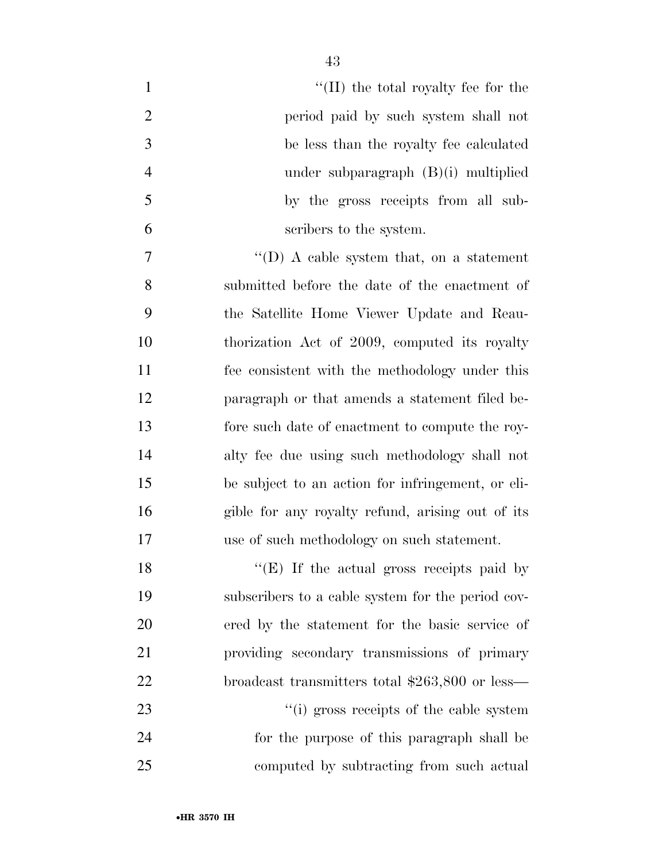| $\mathbf{1}$   | $\lq\lq$ (II) the total royalty fee for the       |
|----------------|---------------------------------------------------|
| $\overline{2}$ | period paid by such system shall not              |
| 3              | be less than the royalty fee calculated           |
| $\overline{4}$ | under subparagraph $(B)(i)$ multiplied            |
| 5              | by the gross receipts from all sub-               |
| 6              | scribers to the system.                           |
| $\tau$         | "(D) A cable system that, on a statement          |
| 8              | submitted before the date of the enactment of     |
| 9              | the Satellite Home Viewer Update and Reau-        |
| 10             | thorization Act of 2009, computed its royalty     |
| 11             | fee consistent with the methodology under this    |
| 12             | paragraph or that amends a statement filed be-    |
| 13             | fore such date of enactment to compute the roy-   |
| 14             | alty fee due using such methodology shall not     |
| 15             | be subject to an action for infringement, or eli- |
| 16             | gible for any royalty refund, arising out of its  |
| 17             | use of such methodology on such statement.        |
| 18             | "(E) If the actual gross receipts paid by         |
| 19             | subscribers to a cable system for the period cov- |
| 20             | ered by the statement for the basic service of    |
| 21             | providing secondary transmissions of primary      |
| 22             | broadcast transmitters total $$263,800$ or less—  |
| 23             | "(i) gross receipts of the cable system           |
| 24             | for the purpose of this paragraph shall be        |
| 25             | computed by subtracting from such actual          |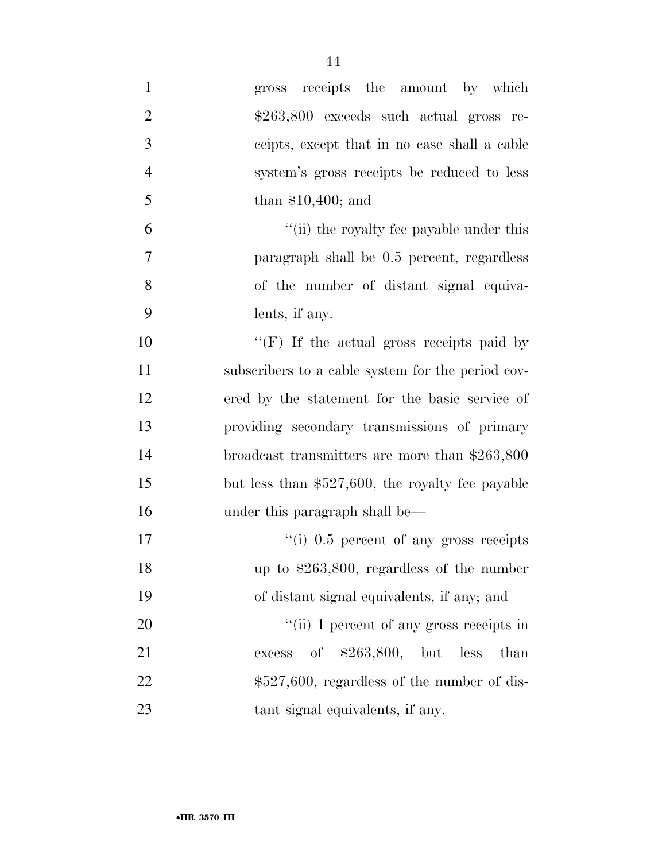| $\mathbf{1}$   | gross receipts the amount by which                 |
|----------------|----------------------------------------------------|
| $\mathbf{2}$   | \$263,800 exceeds such actual gross re-            |
| 3              | ceipts, except that in no case shall a cable       |
| $\overline{4}$ | system's gross receipts be reduced to less         |
| 5              | than $$10,400$ ; and                               |
| 6              | "(ii) the royalty fee payable under this           |
| 7              | paragraph shall be 0.5 percent, regardless         |
| 8              | of the number of distant signal equiva-            |
| 9              | lents, if any.                                     |
| 10             | "(F) If the actual gross receipts paid by          |
| 11             | subscribers to a cable system for the period cov-  |
| 12             | ered by the statement for the basic service of     |
| 13             | providing secondary transmissions of primary       |
| 14             | broadcast transmitters are more than \$263,800     |
| 15             | but less than $$527,600$ , the royalty fee payable |
| 16             | under this paragraph shall be—                     |
| 17             | "(i) $0.5$ percent of any gross receipts           |
| 18             | up to $$263,800$ , regardless of the number        |
| 19             | of distant signal equivalents, if any; and         |
| 20             | "(ii) 1 percent of any gross receipts in           |
| 21             | of $$263,800, but$<br>less<br>than<br>excess       |
| 22             | $$527,600$ , regardless of the number of dis-      |
| 23             | tant signal equivalents, if any.                   |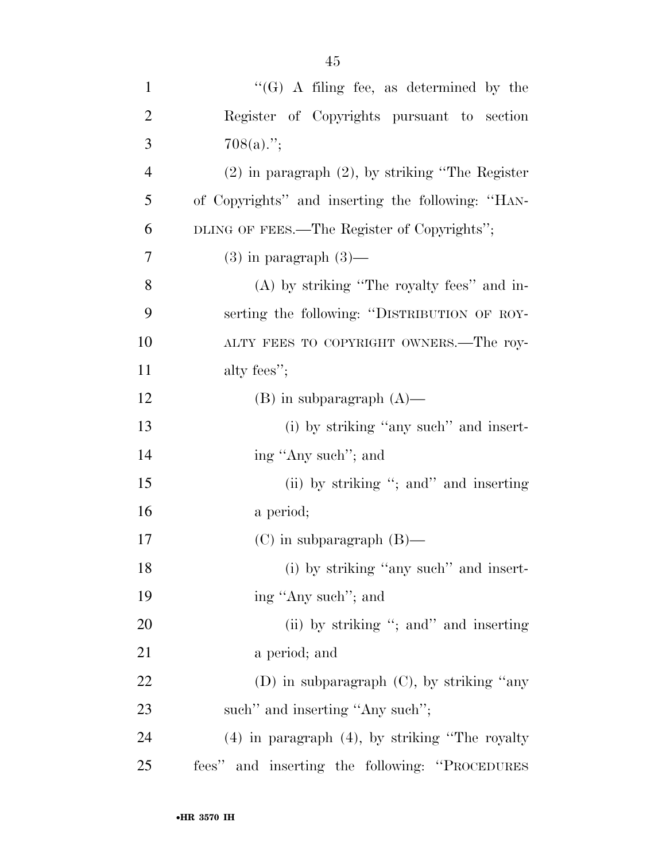| $\mathbf{1}$   | " $(G)$ A filing fee, as determined by the            |
|----------------|-------------------------------------------------------|
| $\overline{2}$ | Register of Copyrights pursuant to section            |
| 3              | $708(a)$ .";                                          |
| $\overline{4}$ | $(2)$ in paragraph $(2)$ , by striking "The Register" |
| 5              | of Copyrights" and inserting the following: "HAN-     |
| 6              | DLING OF FEES.—The Register of Copyrights";           |
| 7              | $(3)$ in paragraph $(3)$ —                            |
| 8              | $(A)$ by striking "The royalty fees" and in-          |
| 9              | serting the following: "DISTRIBUTION OF ROY-          |
| 10             | ALTY FEES TO COPYRIGHT OWNERS.—The roy-               |
| 11             | alty fees";                                           |
| 12             | $(B)$ in subparagraph $(A)$ —                         |
| 13             | (i) by striking "any such" and insert-                |
| 14             | ing "Any such"; and                                   |
| 15             | (ii) by striking "; and" and inserting                |
| 16             | a period;                                             |
| 17             | $(C)$ in subparagraph $(B)$ —                         |
| 18             | (i) by striking "any such" and insert-                |
| 19             | ing "Any such"; and                                   |
| 20             | (ii) by striking "; and" and inserting                |
| 21             | a period; and                                         |
| 22             | (D) in subparagraph $(C)$ , by striking "any          |
| 23             | such" and inserting "Any such";                       |
| 24             | $(4)$ in paragraph $(4)$ , by striking "The royalty"  |
| 25             | fees" and inserting the following: "PROCEDURES"       |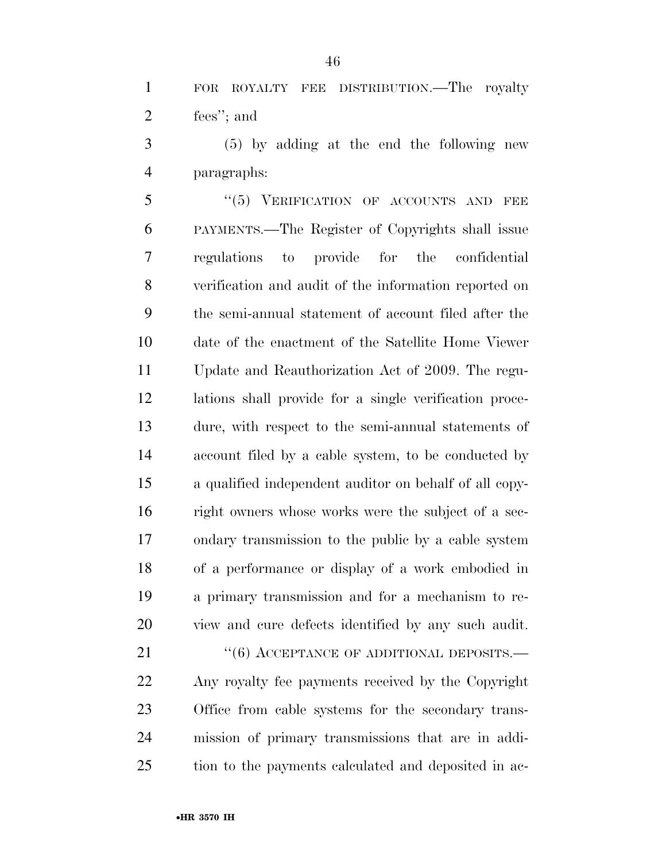FOR ROYALTY FEE DISTRIBUTION.—The royalty fees''; and

 (5) by adding at the end the following new paragraphs:

5 "(5) VERIFICATION OF ACCOUNTS AND FEE PAYMENTS.—The Register of Copyrights shall issue regulations to provide for the confidential verification and audit of the information reported on the semi-annual statement of account filed after the date of the enactment of the Satellite Home Viewer Update and Reauthorization Act of 2009. The regu- lations shall provide for a single verification proce- dure, with respect to the semi-annual statements of account filed by a cable system, to be conducted by a qualified independent auditor on behalf of all copy- right owners whose works were the subject of a sec- ondary transmission to the public by a cable system of a performance or display of a work embodied in a primary transmission and for a mechanism to re-view and cure defects identified by any such audit.

21 "(6) ACCEPTANCE OF ADDITIONAL DEPOSITS.— Any royalty fee payments received by the Copyright Office from cable systems for the secondary trans- mission of primary transmissions that are in addi-tion to the payments calculated and deposited in ac-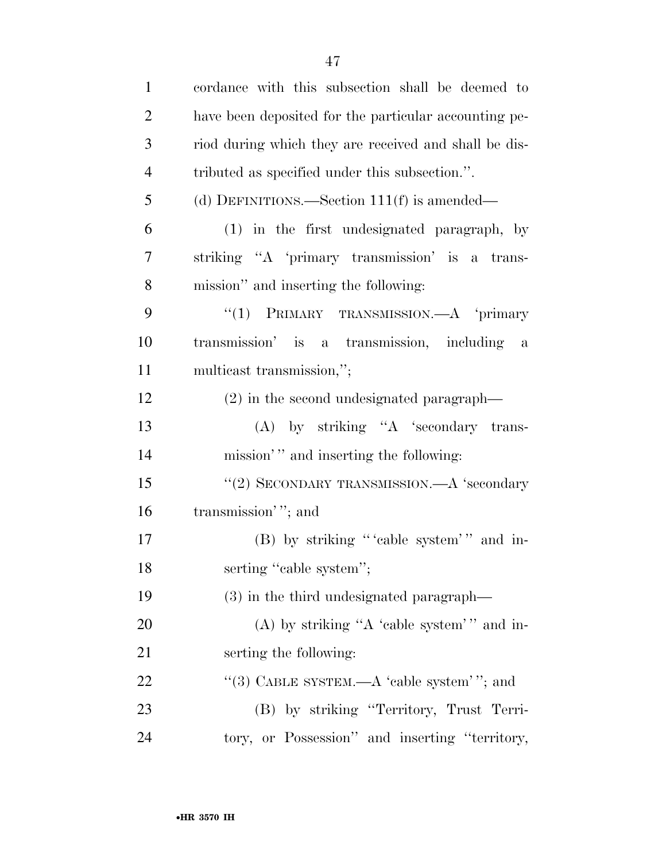| $\mathbf{1}$   | cordance with this subsection shall be deemed to      |
|----------------|-------------------------------------------------------|
| $\overline{2}$ | have been deposited for the particular accounting pe- |
| 3              | riod during which they are received and shall be dis- |
| $\overline{4}$ | tributed as specified under this subsection.".        |
| 5              | (d) DEFINITIONS.—Section $111(f)$ is amended—         |
| 6              | (1) in the first undesignated paragraph, by           |
| 7              | striking "A 'primary transmission' is a trans-        |
| 8              | mission" and inserting the following:                 |
| 9              | "(1) PRIMARY TRANSMISSION. $-A$ 'primary              |
| 10             | transmission' is a transmission, including a          |
| 11             | multicast transmission,";                             |

| 12 | $(2)$ in the second undesignated paragraph— |  |
|----|---------------------------------------------|--|
|    |                                             |  |

 (A) by striking ''A 'secondary trans-14 mission'" and inserting the following:

15 "(2) SECONDARY TRANSMISSION.—A 'secondary 16 transmission'"; and

17 (B) by striking "'cable system'" and in-18 serting "cable system";

(3) in the third undesignated paragraph—

20 (A) by striking "A 'cable system' " and in-serting the following:

22 "(3) CABLE SYSTEM.—A 'cable system' "; and (B) by striking ''Territory, Trust Terri-tory, or Possession'' and inserting ''territory,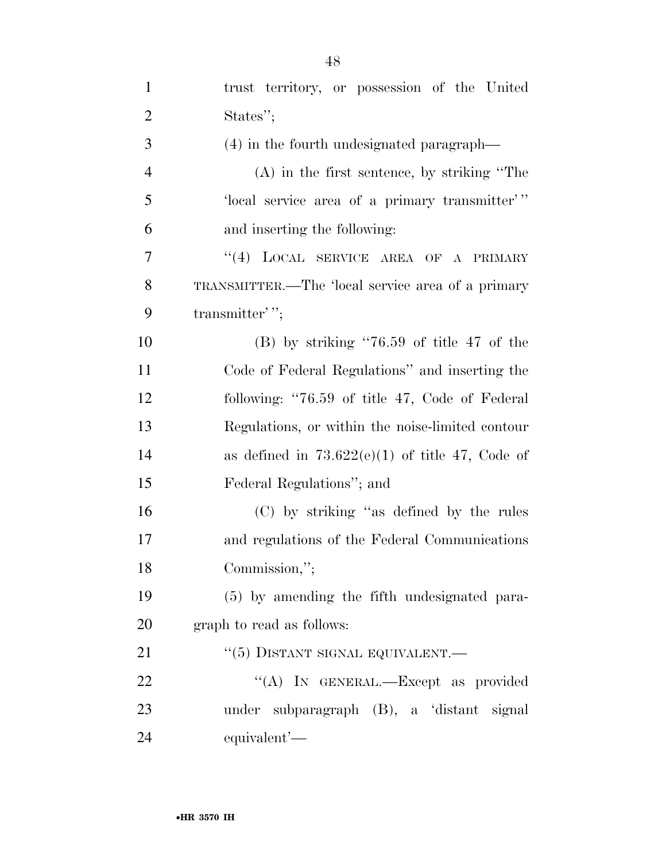| $\mathbf{1}$   | trust territory, or possession of the United      |
|----------------|---------------------------------------------------|
| $\overline{2}$ | States";                                          |
| 3              | (4) in the fourth undesignated paragraph—         |
| $\overline{4}$ | $(A)$ in the first sentence, by striking "The     |
| 5              | 'local service area of a primary transmitter''    |
| 6              | and inserting the following:                      |
| 7              | LOCAL SERVICE AREA OF A PRIMARY<br>(4)            |
| 8              | TRANSMITTER.—The 'local service area of a primary |
| 9              | transmitter'';                                    |
| 10             | $(B)$ by striking "76.59 of title 47 of the       |
| 11             | Code of Federal Regulations" and inserting the    |
| 12             | following: "76.59 of title 47, Code of Federal    |
| 13             | Regulations, or within the noise-limited contour  |
| 14             | as defined in $73.622(e)(1)$ of title 47, Code of |
| 15             | Federal Regulations"; and                         |
| 16             | (C) by striking "as defined by the rules          |
| 17             | and regulations of the Federal Communications     |
| 18             | Commission,";                                     |
| 19             | (5) by amending the fifth undesignated para-      |
| 20             | graph to read as follows:                         |
| 21             | $``(5)$ DISTANT SIGNAL EQUIVALENT.—               |
| 22             | "(A) IN GENERAL.—Except as provided               |
| 23             | under subparagraph (B), a 'distant signal         |
| 24             | equivalent'-                                      |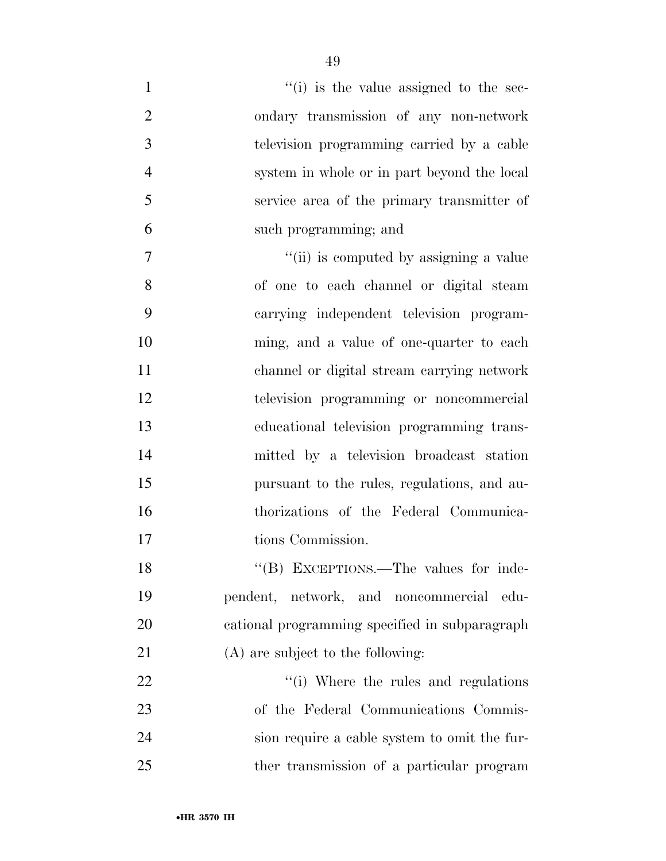| $\mathbf{1}$   | $``(i)$ is the value assigned to the sec-      |
|----------------|------------------------------------------------|
| $\overline{2}$ | ondary transmission of any non-network         |
| 3              | television programming carried by a cable      |
| $\overline{4}$ | system in whole or in part beyond the local    |
| 5              | service area of the primary transmitter of     |
| 6              | such programming; and                          |
| 7              | "(ii) is computed by assigning a value         |
| 8              | of one to each channel or digital steam        |
| 9              | carrying independent television program-       |
| 10             | ming, and a value of one-quarter to each       |
| 11             | channel or digital stream carrying network     |
| 12             | television programming or noncommercial        |
| 13             | educational television programming trans-      |
| 14             | mitted by a television broadcast station       |
| 15             | pursuant to the rules, regulations, and au-    |
| 16             | thorizations of the Federal Communica-         |
| 17             | tions Commission.                              |
| 18             | "(B) EXCEPTIONS.—The values for inde-          |
| 19             | pendent, network, and noncommercial<br>edu-    |
| 20             | cational programming specified in subparagraph |
| 21             | (A) are subject to the following:              |
| 22             | "(i) Where the rules and regulations           |
| 23             | of the Federal Communications Commis-          |
| 24             | sion require a cable system to omit the fur-   |
| 25             | ther transmission of a particular program      |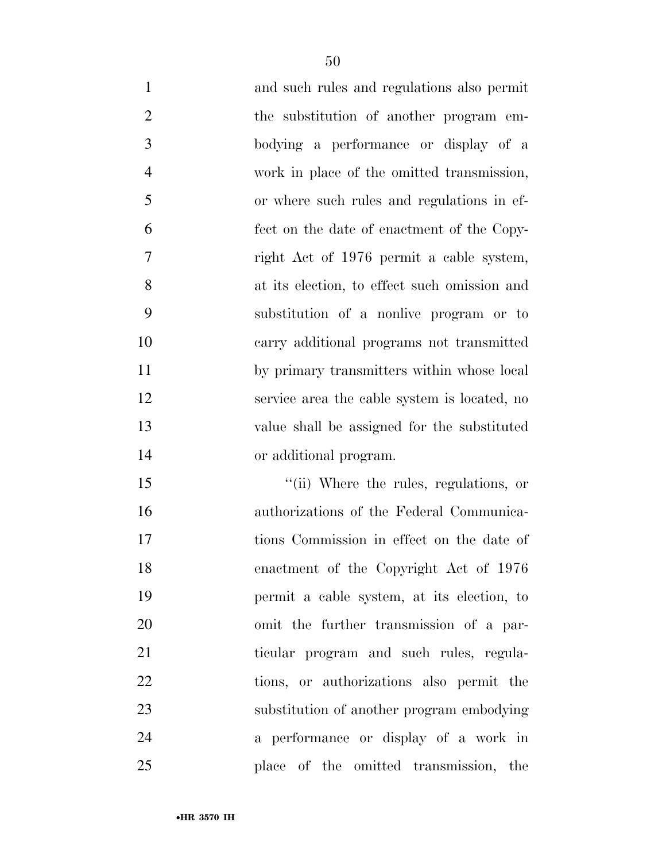and such rules and regulations also permit 2 the substitution of another program em- bodying a performance or display of a work in place of the omitted transmission, or where such rules and regulations in ef- fect on the date of enactment of the Copy- right Act of 1976 permit a cable system, at its election, to effect such omission and substitution of a nonlive program or to carry additional programs not transmitted by primary transmitters within whose local service area the cable system is located, no value shall be assigned for the substituted or additional program.

 $\frac{1}{10}$  Where the rules, regulations, or authorizations of the Federal Communica- tions Commission in effect on the date of enactment of the Copyright Act of 1976 permit a cable system, at its election, to omit the further transmission of a par- ticular program and such rules, regula- tions, or authorizations also permit the substitution of another program embodying a performance or display of a work in place of the omitted transmission, the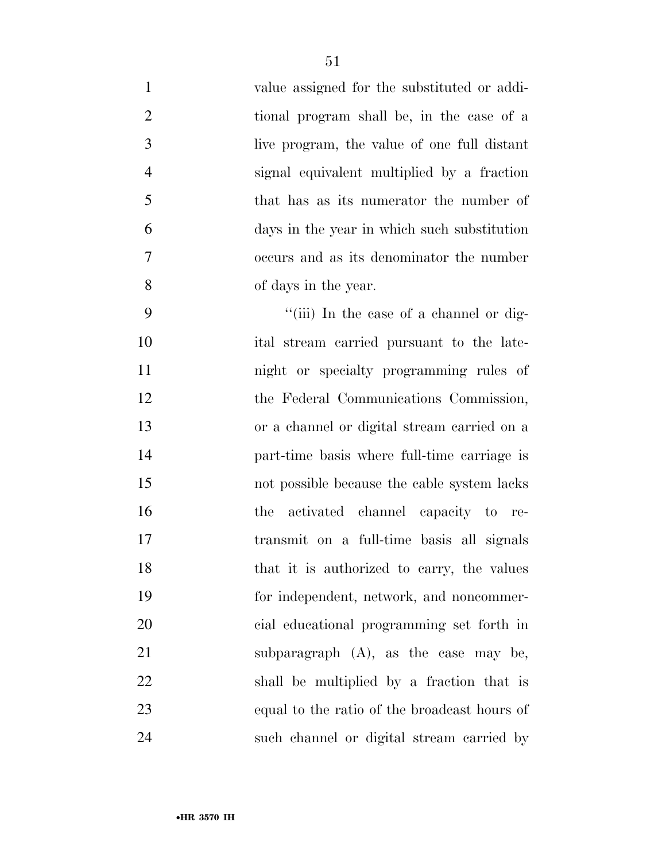| $\mathbf{1}$   | value assigned for the substituted or addi-  |
|----------------|----------------------------------------------|
| $\overline{2}$ | tional program shall be, in the case of a    |
| $\mathfrak{Z}$ | live program, the value of one full distant  |
| $\overline{4}$ | signal equivalent multiplied by a fraction   |
| 5              | that has as its numerator the number of      |
| 6              | days in the year in which such substitution  |
| 7              | occurs and as its denominator the number     |
| 8              | of days in the year.                         |
| 9              | "(iii) In the case of a channel or dig-      |
| 10             | ital stream carried pursuant to the late-    |
| 11             | night or specialty programming rules of      |
| 12             | the Federal Communications Commission,       |
| 13             | or a channel or digital stream carried on a  |
| 14             | part-time basis where full-time carriage is  |
| 15             | not possible because the cable system lacks  |
| 16             | activated channel capacity to re-<br>the     |
| 17             | transmit on a full-time basis all signals    |
| 18             | that it is authorized to carry, the values   |
| 19             | for independent, network, and noncommer-     |
| 20             | cial educational programming set forth in    |
| 21             | subparagraph $(A)$ , as the case may be,     |
| 22             | shall be multiplied by a fraction that is    |
| 23             | equal to the ratio of the broadcast hours of |
| 24             | such channel or digital stream carried by    |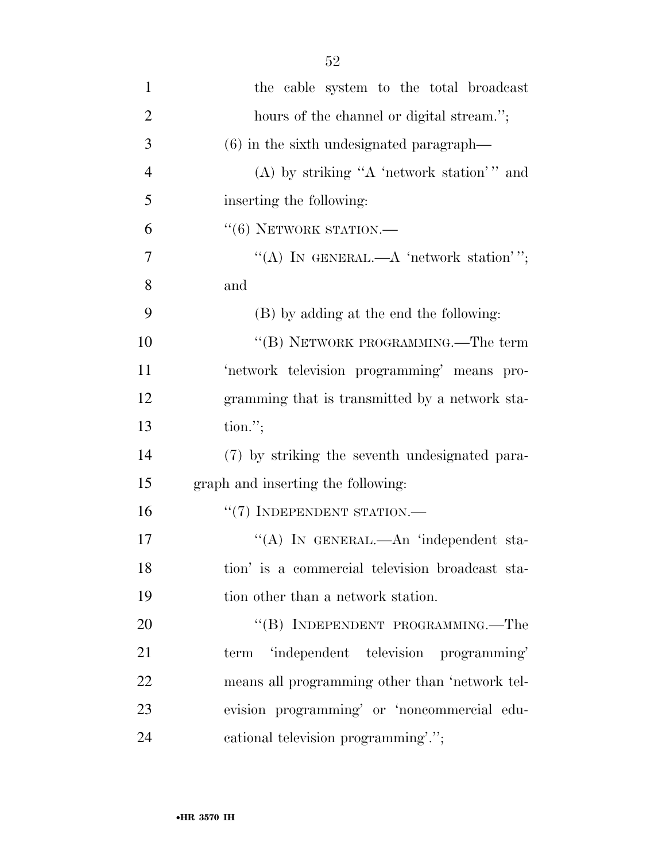| $\mathbf{1}$   | the cable system to the total broadcast         |
|----------------|-------------------------------------------------|
| $\overline{2}$ | hours of the channel or digital stream.";       |
| 3              | $(6)$ in the sixth undesignated paragraph—      |
| $\overline{4}$ | (A) by striking "A 'network station'" and       |
| 5              | inserting the following:                        |
| 6              | $``(6)$ NETWORK STATION.—                       |
| $\overline{7}$ | "(A) IN GENERAL.—A 'network station'";          |
| 8              | and                                             |
| 9              | (B) by adding at the end the following:         |
| 10             | "(B) NETWORK PROGRAMMING.—The term              |
| 11             | 'network television programming' means pro-     |
| 12             | gramming that is transmitted by a network sta-  |
| 13             | $\text{tion."}$                                 |
| 14             | (7) by striking the seventh undesignated para-  |
| 15             | graph and inserting the following:              |
| 16             | $``(7)$ INDEPENDENT STATION.—                   |
| 17             | "(A) IN GENERAL.—An 'independent sta-           |
| 18             | tion' is a commercial television broadcast sta- |
| 19             | tion other than a network station.              |
| 20             | "(B) INDEPENDENT PROGRAMMING.—The               |

 term 'independent television programming' means all programming other than 'network tel- evision programming' or 'noncommercial edu-cational television programming'.'';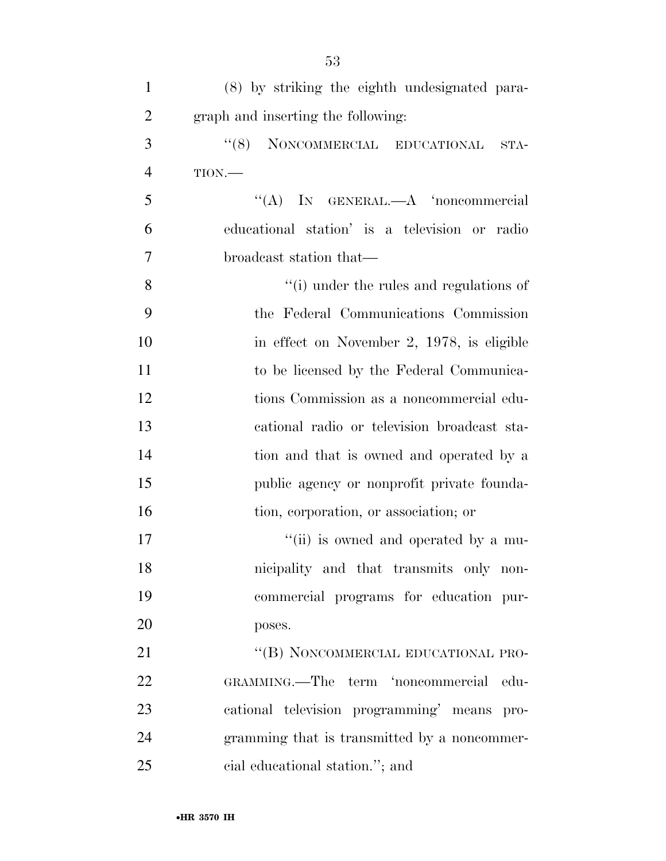| $\mathbf{1}$   | (8) by striking the eighth undesignated para- |
|----------------|-----------------------------------------------|
| $\overline{2}$ | graph and inserting the following:            |
| 3              | "(8) NONCOMMERCIAL EDUCATIONAL<br>STA-        |
| $\overline{4}$ | TION.                                         |
| 5              | "(A) IN GENERAL.—A 'noncommercial             |
| 6              | educational station' is a television or radio |
| 7              | broadcast station that—                       |
| 8              | "(i) under the rules and regulations of       |
| 9              | the Federal Communications Commission         |
| 10             | in effect on November 2, 1978, is eligible    |
| 11             | to be licensed by the Federal Communica-      |
| 12             | tions Commission as a noncommercial edu-      |
| 13             | cational radio or television broadcast sta-   |
| 14             | tion and that is owned and operated by a      |
| 15             | public agency or nonprofit private founda-    |
| 16             | tion, corporation, or association; or         |
| 17             | "(ii) is owned and operated by a mu-          |
| 18             | nicipality and that transmits only non-       |
| 19             | commercial programs for education pur-        |
| 20             | poses.                                        |
| 21             | "(B) NONCOMMERCIAL EDUCATIONAL PRO-           |
| 22             | GRAMMING.—The term 'noncommercial<br>-edu-    |
| 23             | cational television programming' means pro-   |
| 24             | gramming that is transmitted by a noncommer-  |
| 25             | cial educational station."; and               |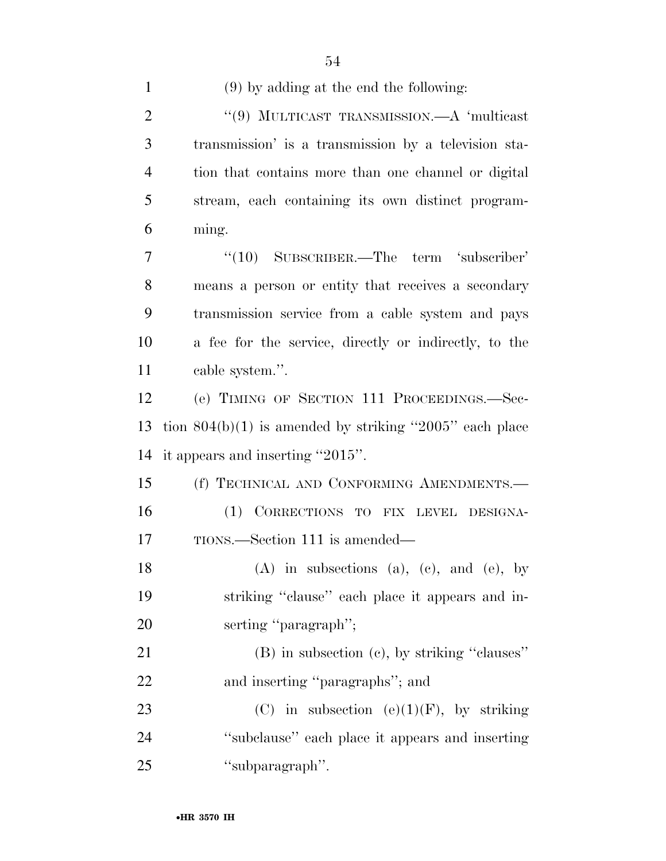| $\mathbf{1}$   | $(9)$ by adding at the end the following:                 |
|----------------|-----------------------------------------------------------|
| $\overline{2}$ | "(9) MULTICAST TRANSMISSION.—A 'multicast                 |
| 3              | transmission' is a transmission by a television sta-      |
| 4              | tion that contains more than one channel or digital       |
| 5              | stream, each containing its own distinct program-         |
| 6              | ming.                                                     |
| 7              | $\cdot$ (10) SUBSCRIBER.—The term 'subscriber'            |
| 8              | means a person or entity that receives a secondary        |
| 9              | transmission service from a cable system and pays         |
| 10             | a fee for the service, directly or indirectly, to the     |
| 11             | cable system.".                                           |
| 12             | (e) TIMING OF SECTION 111 PROCEEDINGS.—Sec-               |
| 13             | tion $804(b)(1)$ is amended by striking "2005" each place |
| 14             | it appears and inserting "2015".                          |
| 15             | (f) TECHNICAL AND CONFORMING AMENDMENTS.                  |
| 16             | (1) CORRECTIONS TO FIX LEVEL DESIGNA-                     |
| 17             | TIONS.—Section 111 is amended—                            |
| 18             | $(A)$ in subsections $(a)$ , $(c)$ , and $(e)$ , by       |
| 19             | striking "clause" each place it appears and in-           |
| 20             | serting "paragraph";                                      |
| 21             | (B) in subsection (c), by striking "clauses"              |
| 22             | and inserting "paragraphs"; and                           |
| 23             | (C) in subsection (e)(1)(F), by striking                  |
| 24             | "subclause" each place it appears and inserting           |
| 25             | "subparagraph".                                           |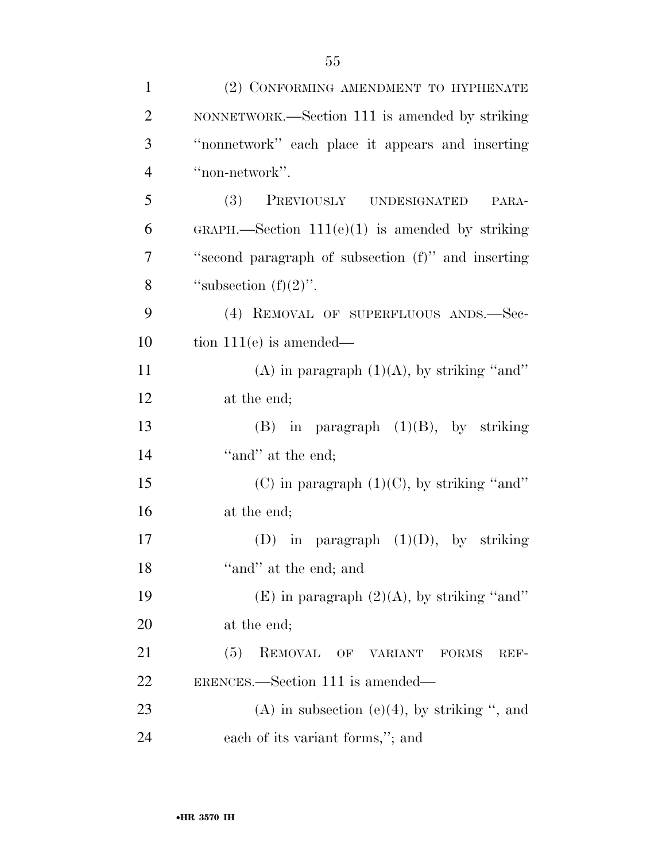| $\mathbf{1}$   | (2) CONFORMING AMENDMENT TO HYPHENATE              |
|----------------|----------------------------------------------------|
| $\overline{2}$ | NONNETWORK.—Section 111 is amended by striking     |
| 3              | "nonnetwork" each place it appears and inserting   |
| $\overline{4}$ | "non-network".                                     |
| 5              | PREVIOUSLY UNDESIGNATED<br>(3)<br>PARA-            |
| 6              | GRAPH.—Section $111(e)(1)$ is amended by striking  |
| $\overline{7}$ | "second paragraph of subsection (f)" and inserting |
| 8              | "subsection $(f)(2)$ ".                            |
| 9              | (4) REMOVAL OF SUPERFLUOUS ANDS.-Sec-              |
| 10             | tion $111(e)$ is amended—                          |
| 11             | (A) in paragraph $(1)(A)$ , by striking "and"      |
| 12             | at the end;                                        |
| 13             | $(B)$ in paragraph $(1)(B)$ , by striking          |
| 14             | "and" at the end;                                  |
| 15             | (C) in paragraph $(1)(C)$ , by striking "and"      |
| 16             | at the end;                                        |
| 17             | (D) in paragraph $(1)(D)$ , by striking            |
| 18             | "and" at the end; and                              |
| 19             | (E) in paragraph $(2)(A)$ , by striking "and"      |
| <b>20</b>      | at the end;                                        |
| 21             | (5)<br>REMOVAL OF VARIANT<br><b>FORMS</b><br>REF-  |
| 22             | ERENCES.—Section 111 is amended—                   |
| 23             | (A) in subsection (e)(4), by striking ", and       |
| 24             | each of its variant forms,"; and                   |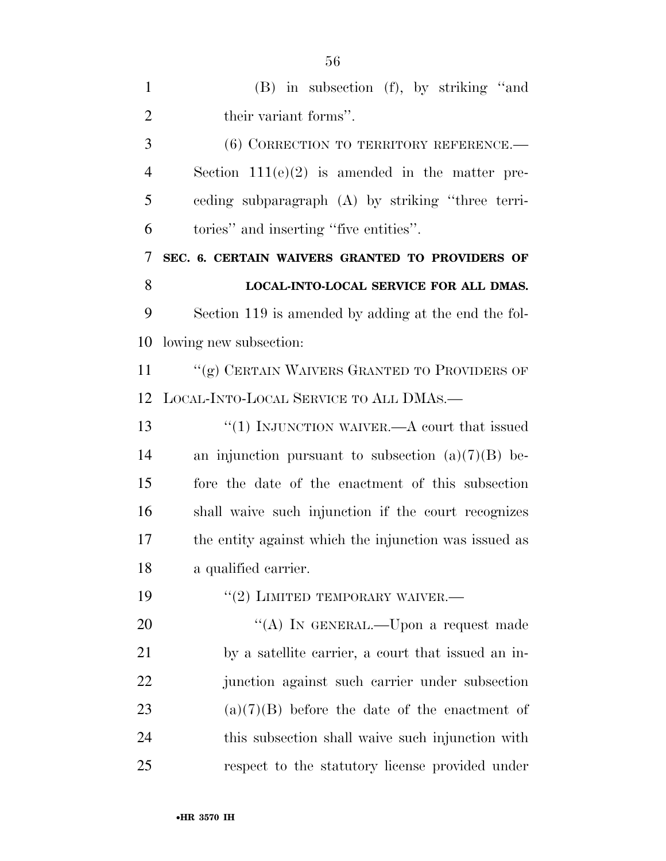| $\mathbf{1}$   | $(B)$ in subsection $(f)$ , by striking "and          |
|----------------|-------------------------------------------------------|
| $\overline{2}$ | their variant forms".                                 |
| 3              | (6) CORRECTION TO TERRITORY REFERENCE.                |
| $\overline{4}$ | Section $111(e)(2)$ is amended in the matter pre-     |
| 5              | eeding subparagraph (A) by striking "three terri-     |
| 6              | tories" and inserting "five entities".                |
| 7              | SEC. 6. CERTAIN WAIVERS GRANTED TO PROVIDERS OF       |
| 8              | LOCAL-INTO-LOCAL SERVICE FOR ALL DMAS.                |
| 9              | Section 119 is amended by adding at the end the fol-  |
| 10             | lowing new subsection:                                |
| 11             | "(g) CERTAIN WAIVERS GRANTED TO PROVIDERS OF          |
| 12             | LOCAL-INTO-LOCAL SERVICE TO ALL DMAS.-                |
| 13             | "(1) INJUNCTION WAIVER.—A court that issued           |
| 14             | an injunction pursuant to subsection $(a)(7)(B)$ be-  |
| 15             | fore the date of the enactment of this subsection     |
| 16             | shall waive such injunction if the court recognizes   |
| 17             | the entity against which the injunction was issued as |
| 18             | a qualified carrier.                                  |
| 19             | $``(2)$ LIMITED TEMPORARY WAIVER.—                    |
| 20             | "(A) IN GENERAL.—Upon a request made                  |
| 21             | by a satellite carrier, a court that issued an in-    |
| 22             | junction against such carrier under subsection        |
| 23             | $(a)(7)(B)$ before the date of the enactment of       |
| 24             | this subsection shall waive such injunction with      |
| 25             | respect to the statutory license provided under       |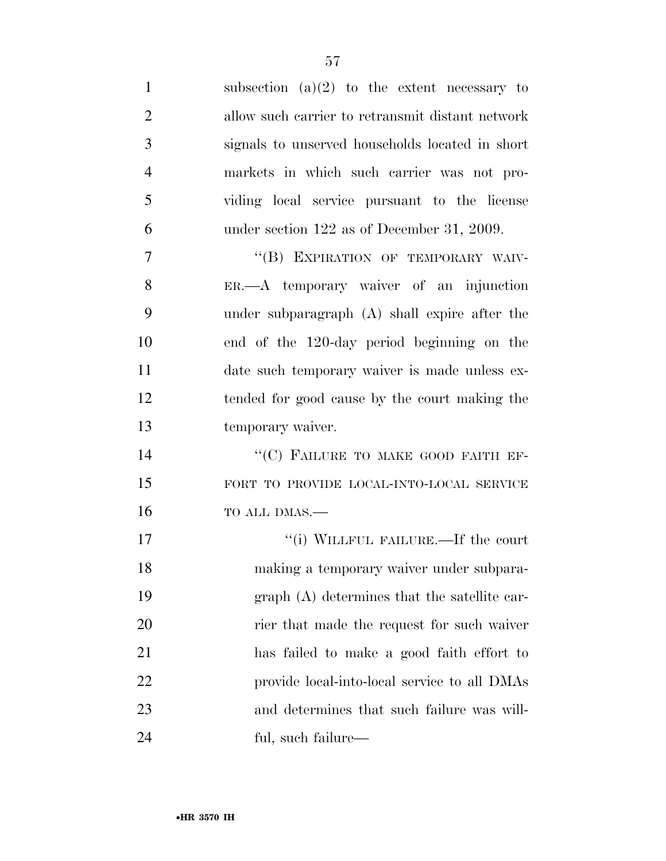| $\mathbf{1}$   | subsection $(a)(2)$ to the extent necessary to   |
|----------------|--------------------------------------------------|
| $\overline{2}$ | allow such carrier to retransmit distant network |
| 3              | signals to unserved households located in short  |
| $\overline{4}$ | markets in which such carrier was not pro-       |
| 5              | viding local service pursuant to the license     |
| 6              | under section $122$ as of December 31, 2009.     |
| $\overline{7}$ | "(B) EXPIRATION OF TEMPORARY WAIV-               |
| 8              | ER.—A temporary waiver of an injunction          |
| 9              | under subparagraph (A) shall expire after the    |
| 10             | end of the 120-day period beginning on the       |
| 11             | date such temporary waiver is made unless ex-    |
| 12             | tended for good cause by the court making the    |
| 13             | temporary waiver.                                |
| 14             | "(C) FAILURE TO MAKE GOOD FAITH EF-              |
| 15             | FORT TO PROVIDE LOCAL-INTO-LOCAL SERVICE         |
| 16             | TO ALL DMAS.-                                    |
| 17             | "(i) WILLFUL FAILURE.—If the court               |
| 18             | making a temporary waiver under subpara-         |
| 19             | graph (A) determines that the satellite car-     |
| 20             | rier that made the request for such waiver       |
| 21             | has failed to make a good faith effort to        |
| 22             | provide local-into-local service to all DMAs     |
| 23             | and determines that such failure was will-       |
| 24             | ful, such failure—                               |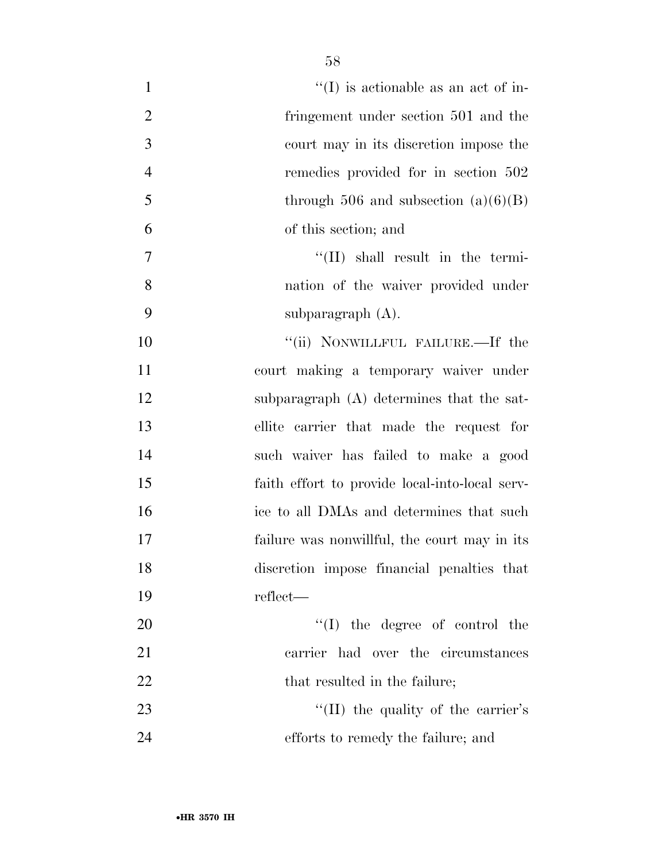| $\mathbf{1}$   | $\lq\lq$ (I) is actionable as an act of in-    |
|----------------|------------------------------------------------|
| $\overline{2}$ | fringement under section 501 and the           |
| 3              | court may in its discretion impose the         |
| $\overline{4}$ | remedies provided for in section 502           |
| 5              | through 506 and subsection $(a)(6)(B)$         |
| 6              | of this section; and                           |
| 7              | $\lq\lq$ (II) shall result in the termi-       |
| 8              | nation of the waiver provided under            |
| 9              | subparagraph $(A)$ .                           |
| 10             | "(ii) NONWILLFUL FAILURE.—If the               |
| 11             | court making a temporary waiver under          |
| 12             | subparagraph $(A)$ determines that the sat-    |
| 13             | ellite carrier that made the request for       |
| 14             | such waiver has failed to make a good          |
| 15             | faith effort to provide local-into-local serv- |
| 16             | ice to all DMAs and determines that such       |
| 17             | failure was nonwillful, the court may in its   |
| 18             | discretion impose financial penalties that     |
| 19             | reflect—                                       |
| 20             | $\lq\lq$ (I) the degree of control the         |
| 21             | carrier had over the circumstances             |
| 22             | that resulted in the failure;                  |
| 23             | "(II) the quality of the carrier's             |
| 24             | efforts to remedy the failure; and             |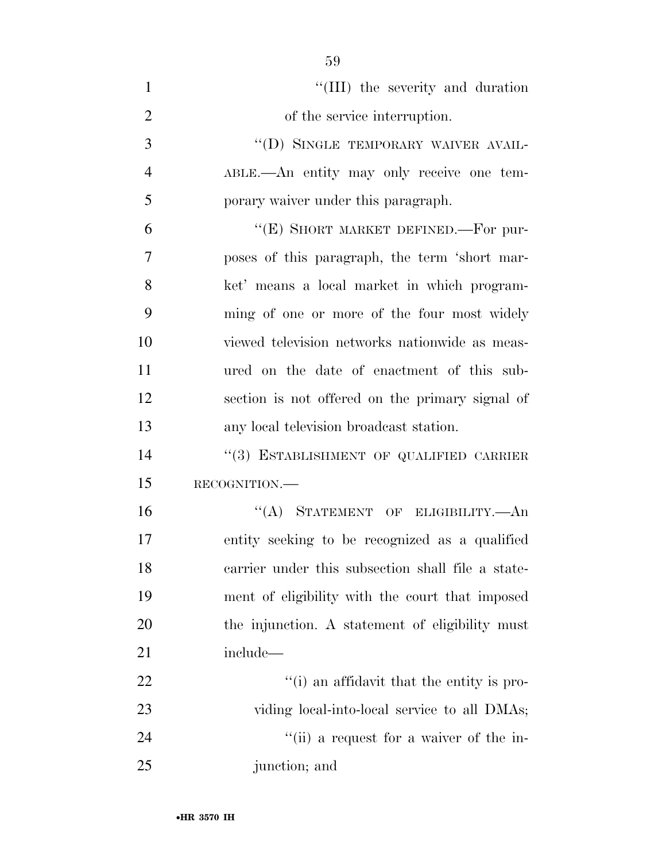| $\mathbf{1}$   | "(III) the severity and duration                  |
|----------------|---------------------------------------------------|
| $\overline{2}$ | of the service interruption.                      |
| 3              | "(D) SINGLE TEMPORARY WAIVER AVAIL-               |
| $\overline{4}$ | ABLE.—An entity may only receive one tem-         |
| 5              | porary waiver under this paragraph.               |
| 6              | "(E) SHORT MARKET DEFINED.—For pur-               |
| 7              | poses of this paragraph, the term 'short mar-     |
| 8              | ket' means a local market in which program-       |
| 9              | ming of one or more of the four most widely       |
| 10             | viewed television networks nationwide as meas-    |
| 11             | ured on the date of enactment of this sub-        |
| 12             | section is not offered on the primary signal of   |
| 13             | any local television broadcast station.           |
| 14             | "(3) ESTABLISHMENT OF QUALIFIED CARRIER           |
| 15             | RECOGNITION.                                      |
| 16             | "(A) STATEMENT OF ELIGIBILITY.—An                 |
| 17             | entity seeking to be recognized as a qualified    |
| 18             | carrier under this subsection shall file a state- |
| 19             | ment of eligibility with the court that imposed   |
| 20             | the injunction. A statement of eligibility must   |
| 21             | include—                                          |
| 22             | "(i) an affidavit that the entity is pro-         |
| 23             | viding local-into-local service to all DMAs;      |
| 24             | "(ii) a request for a waiver of the in-           |
| 25             | junction; and                                     |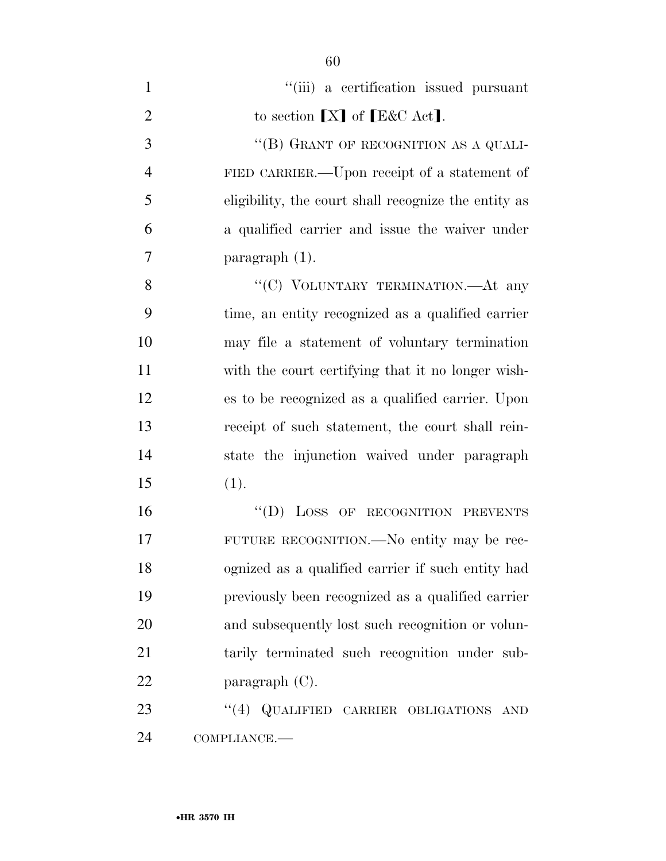| $\mathbf{1}$   | "(iii) a certification issued pursuant               |
|----------------|------------------------------------------------------|
| $\overline{2}$ | to section $[X]$ of $[E&C \text{ Act}]$ .            |
| 3              | "(B) GRANT OF RECOGNITION AS A QUALI-                |
| $\overline{4}$ | FIED CARRIER.—Upon receipt of a statement of         |
| 5              | eligibility, the court shall recognize the entity as |
| 6              | a qualified carrier and issue the waiver under       |
| $\overline{7}$ | paragraph $(1)$ .                                    |
| 8              | "(C) VOLUNTARY TERMINATION.—At any                   |
| 9              | time, an entity recognized as a qualified carrier    |
| 10             | may file a statement of voluntary termination        |
| 11             | with the court certifying that it no longer wish-    |
| 12             | es to be recognized as a qualified carrier. Upon     |
| 13             | receipt of such statement, the court shall rein-     |
| 14             | state the injunction waived under paragraph          |
| 15             | (1).                                                 |
| 16             | "(D) LOSS OF RECOGNITION PREVENTS                    |
| 17             | FUTURE RECOGNITION. No entity may be rec-            |
| 18             | ognized as a qualified carrier if such entity had    |
| 19             | previously been recognized as a qualified carrier    |
| 20             | and subsequently lost such recognition or volun-     |
| 21             | tarily terminated such recognition under sub-        |
| 22             | paragraph $(C)$ .                                    |
| 23             | "(4) QUALIFIED CARRIER OBLIGATIONS AND               |
| 24             | COMPLIANCE.-                                         |

•**HR 3570 IH**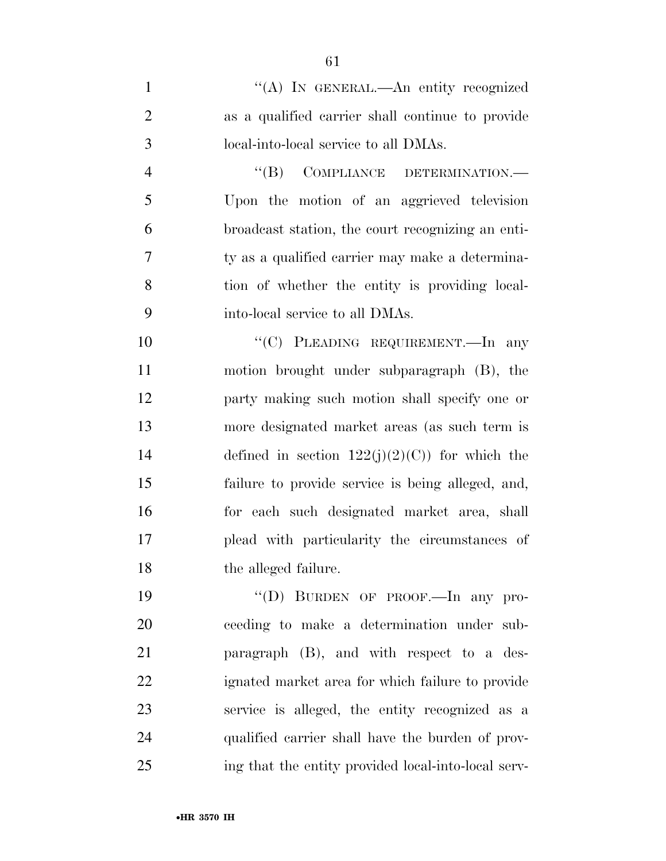1 "(A) In GENERAL.—An entity recognized as a qualified carrier shall continue to provide local-into-local service to all DMAs.

4 "(B) COMPLIANCE DETERMINATION.— Upon the motion of an aggrieved television broadcast station, the court recognizing an enti- ty as a qualified carrier may make a determina- tion of whether the entity is providing local-into-local service to all DMAs.

10 "'(C) PLEADING REQUIREMENT.—In any motion brought under subparagraph (B), the party making such motion shall specify one or more designated market areas (as such term is 14 defined in section  $122(i)(2)(C)$  for which the failure to provide service is being alleged, and, for each such designated market area, shall plead with particularity the circumstances of the alleged failure.

19 "(D) BURDEN OF PROOF.—In any pro- ceeding to make a determination under sub- paragraph (B), and with respect to a des- ignated market area for which failure to provide service is alleged, the entity recognized as a qualified carrier shall have the burden of prov-ing that the entity provided local-into-local serv-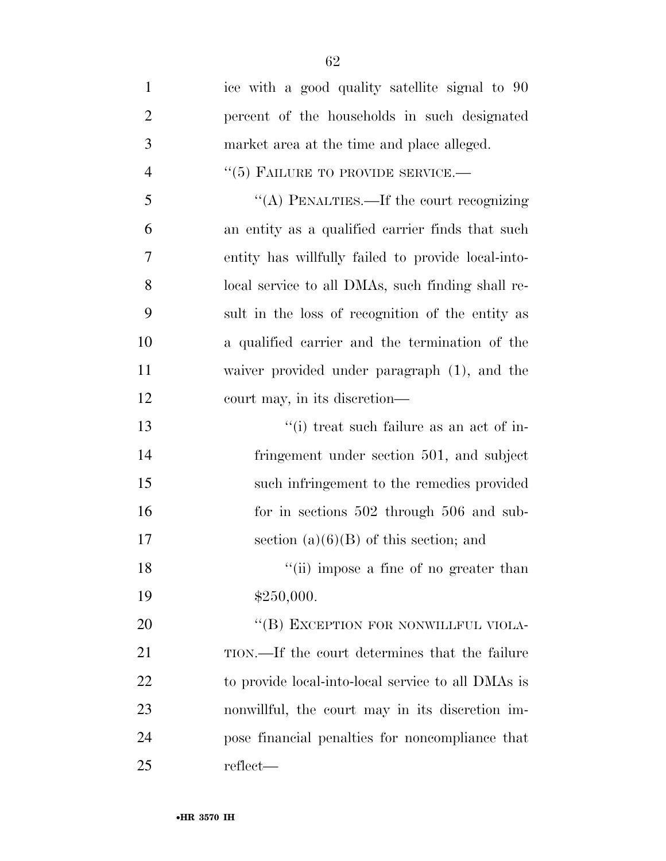| $\mathbf{1}$   | ice with a good quality satellite signal to 90     |
|----------------|----------------------------------------------------|
| $\overline{2}$ | percent of the households in such designated       |
| 3              | market area at the time and place alleged.         |
| $\overline{4}$ | $``(5)$ FAILURE TO PROVIDE SERVICE.—               |
| 5              | "(A) PENALTIES.—If the court recognizing           |
| 6              | an entity as a qualified carrier finds that such   |
| 7              | entity has willfully failed to provide local-into- |
| 8              | local service to all DMAs, such finding shall re-  |
| 9              | sult in the loss of recognition of the entity as   |
| 10             | a qualified carrier and the termination of the     |
| 11             | waiver provided under paragraph (1), and the       |
| 12             | court may, in its discretion—                      |
| 13             | "(i) treat such failure as an act of in-           |
| 14             | fringement under section 501, and subject          |
| 15             | such infringement to the remedies provided         |
| 16             | for in sections $502$ through $506$ and sub-       |
| 17             | section $(a)(6)(B)$ of this section; and           |
| 18             | "(ii) impose a fine of no greater than             |
| 19             | \$250,000.                                         |
| 20             | "(B) EXCEPTION FOR NONWILLFUL VIOLA-               |
| 21             | TION.—If the court determines that the failure     |
| 22             | to provide local-into-local service to all DMAs is |
| 23             | nonwillful, the court may in its discretion im-    |
| 24             | pose financial penalties for noncompliance that    |
| 25             | reflect—                                           |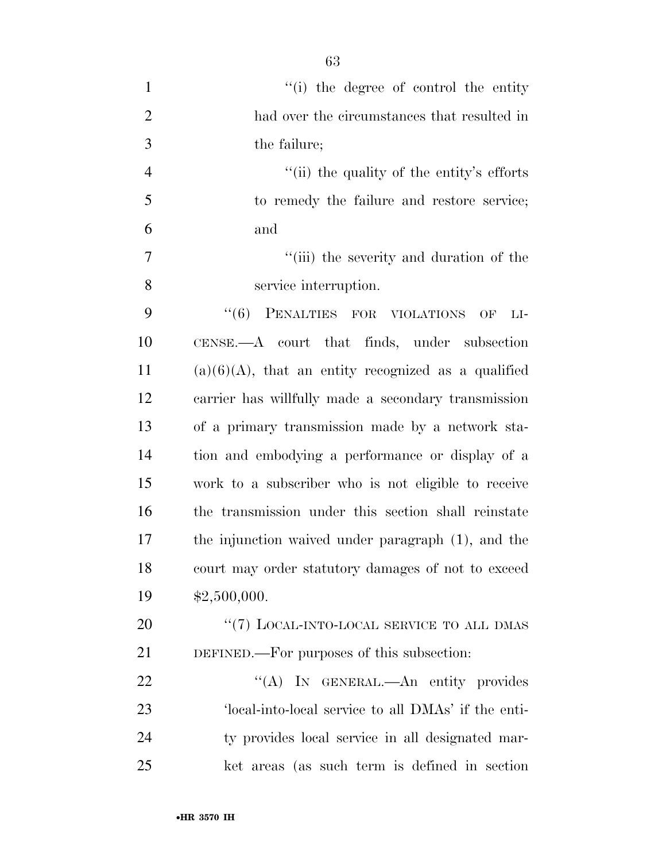| $\mathbf{1}$   | "(i) the degree of control the entity                  |
|----------------|--------------------------------------------------------|
| $\overline{2}$ | had over the circumstances that resulted in            |
| 3              | the failure;                                           |
| $\overline{4}$ | "(ii) the quality of the entity's efforts              |
| 5              | to remedy the failure and restore service;             |
| 6              | and                                                    |
| $\overline{7}$ | "(iii) the severity and duration of the                |
| 8              | service interruption.                                  |
| 9              | "(6) PENALTIES FOR VIOLATIONS OF<br>$LI-$              |
| 10             | $CENSE. - A$ court that finds, under subsection        |
| 11             | $(a)(6)(A)$ , that an entity recognized as a qualified |
| 12             | carrier has willfully made a secondary transmission    |
| 13             | of a primary transmission made by a network sta-       |
| 14             | tion and embodying a performance or display of a       |
| 15             | work to a subscriber who is not eligible to receive    |
| 16             | the transmission under this section shall reinstate    |
| 17             | the injunction waived under paragraph (1), and the     |
| 18             | court may order statutory damages of not to exceed     |
| 19             | \$2,500,000.                                           |
| 20             | "(7) LOCAL-INTO-LOCAL SERVICE TO ALL DMAS              |
| 21             | DEFINED.—For purposes of this subsection:              |
| 22             | "(A) IN GENERAL.—An entity provides                    |
| 23             | 'local-into-local service to all DMAs' if the enti-    |
| 24             | ty provides local service in all designated mar-       |
| 25             | ket areas (as such term is defined in section          |